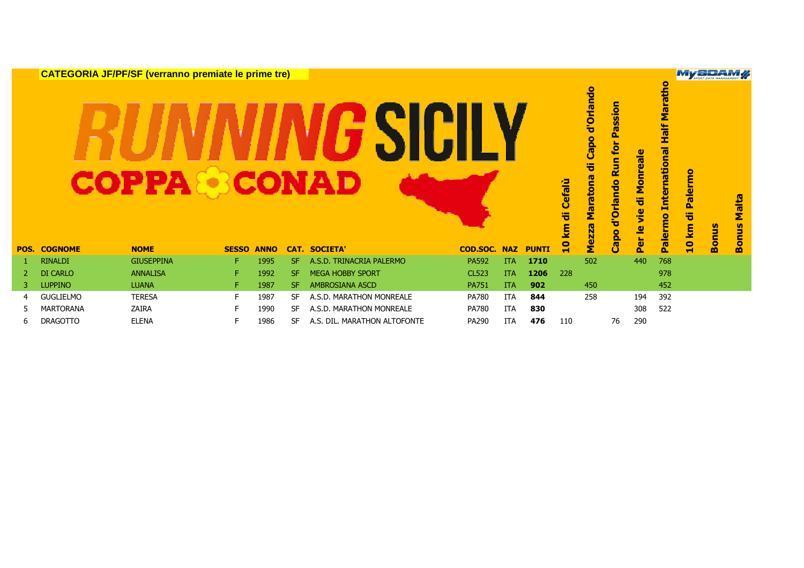|    |                     | <b>CATEGORIA JF/PF/SF (verranno premiate le prime tre)</b><br>COPPA |              |             |     | <b>CONAD</b>                 |                 |            |              | Cefalù<br>ㅎ<br><b>la</b> | Capo d'Orlando<br>튱<br>ma<br>Marato<br><b>Mezza</b> | Passion<br>tor<br><b>Run</b><br>d'Orlando<br><b>Capo</b> | Monreale<br>ㅎ<br><u>ie</u><br>Per le | $\bullet$<br>Marath<br>Half<br><b>International</b><br>Palermo | <b>MySELLAM</b><br><b>Palermo</b><br>튱<br>10 km | <b>Bonus</b> | Malta<br>ម្ម |
|----|---------------------|---------------------------------------------------------------------|--------------|-------------|-----|------------------------------|-----------------|------------|--------------|--------------------------|-----------------------------------------------------|----------------------------------------------------------|--------------------------------------|----------------------------------------------------------------|-------------------------------------------------|--------------|--------------|
|    | <b>POS. COGNOME</b> | <b>NOME</b>                                                         | <b>SESSO</b> | <b>ANNO</b> |     | <b>CAT. SOCIETA'</b>         | <b>COD.SOC.</b> | <b>NAZ</b> | <b>PUNTI</b> | $\mathbf{e}$             |                                                     |                                                          |                                      |                                                                |                                                 |              | m            |
|    | <b>RINALDI</b>      | <b>GIUSEPPINA</b>                                                   | F.           | 1995        | SF. | A.S.D. TRINACRIA PALERMO     | <b>PA592</b>    | <b>ITA</b> | 1710         |                          | 502                                                 |                                                          | 440                                  | 768                                                            |                                                 |              |              |
|    | <b>DI CARLO</b>     | <b>ANNALISA</b>                                                     | F.           | 1992        | SF. | <b>MEGA HOBBY SPORT</b>      | <b>CL523</b>    | <b>ITA</b> | 1206         | 228                      |                                                     |                                                          |                                      | 978                                                            |                                                 |              |              |
| 3. | <b>LUPPINO</b>      | <b>LUANA</b>                                                        | F.           | 1987        | SF. | <b>AMBROSIANA ASCD</b>       | <b>PA751</b>    | <b>ITA</b> | 902          |                          | 450                                                 |                                                          |                                      | 452                                                            |                                                 |              |              |
| 4  | <b>GUGLIELMO</b>    | <b>TERESA</b>                                                       | F.           | 1987        | SF  | A.S.D. MARATHON MONREALE     | PA780           | ITA        | 844          |                          | 258                                                 |                                                          | 194                                  | 392                                                            |                                                 |              |              |
| 5. | <b>MARTORANA</b>    | <b>ZAIRA</b>                                                        | F.           | 1990        | SF. | A.S.D. MARATHON MONREALE     | <b>PA780</b>    | ITA        | 830          |                          |                                                     |                                                          | 308                                  | 522                                                            |                                                 |              |              |
| 6  | <b>DRAGOTTO</b>     | <b>ELENA</b>                                                        | F            | 1986        | SF  | A.S. DIL. MARATHON ALTOFONTE | PA290           | <b>ITA</b> | 476          | 110                      |                                                     | 76                                                       | 290                                  |                                                                |                                                 |              |              |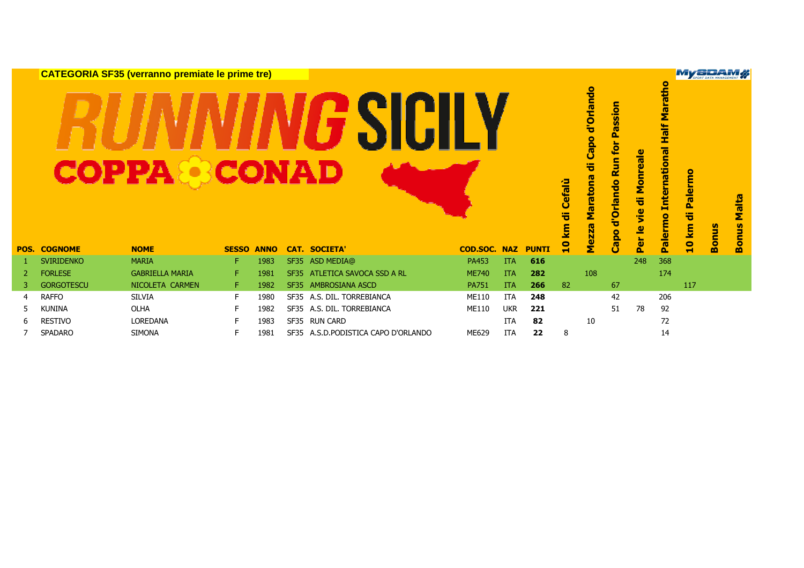|                |                                                                                                                                                                                                                                                                                                                                                                                               | <b>CATEGORIA SF35 (verranno premiate le prime tre)</b> |    |      |             |                                |              |            |              |                          |                                                 |                                                                                   |                               |                                                           | MySDAM                |              |                     |
|----------------|-----------------------------------------------------------------------------------------------------------------------------------------------------------------------------------------------------------------------------------------------------------------------------------------------------------------------------------------------------------------------------------------------|--------------------------------------------------------|----|------|-------------|--------------------------------|--------------|------------|--------------|--------------------------|-------------------------------------------------|-----------------------------------------------------------------------------------|-------------------------------|-----------------------------------------------------------|-----------------------|--------------|---------------------|
|                | <b>COPPA</b><br>CONAD<br><b>NOME</b><br><b>CAT. SOCIETA'</b><br><b>COD.SOC. NAZ</b><br><b>POS. COGNOME</b><br><b>SESSO</b><br><b>ANNO</b><br><b>MARIA</b><br>F<br>ASD MEDIA@<br>PA453<br>616<br><b>SVIRIDENKO</b><br>1983<br><b>SF35</b><br><b>ITA</b><br><b>FORLESE</b><br><b>GABRIELLA MARIA</b><br>ATLETICA SAVOCA SSD A RL<br>F<br><b>ME740</b><br>1981<br><b>ITA</b><br>282<br>2<br>SF35 |                                                        |    |      |             |                                |              |            |              | Cefalù<br>ᄬ<br><u>ទ្</u> | Capo d'Orlando<br>ㅎ<br>Maratona<br><b>Mezza</b> | Passion<br>for<br><b>Run</b><br><b>Orlando</b><br>$\overline{\mathbf{v}}$<br>Capo | Monreale<br>등<br>je<br>Per le | Maratho<br><b>Half</b><br><b>International</b><br>Palermo | Palermo<br>ㅎ<br>10 km | <b>Bonus</b> | <b>Malta</b><br>ម្ម |
|                |                                                                                                                                                                                                                                                                                                                                                                                               |                                                        |    |      |             |                                |              |            | <b>PUNTI</b> | $\mathbf{a}$             |                                                 |                                                                                   |                               |                                                           |                       |              | Bon                 |
|                |                                                                                                                                                                                                                                                                                                                                                                                               |                                                        |    |      |             |                                |              |            |              |                          |                                                 |                                                                                   | 248                           | 368                                                       |                       |              |                     |
|                |                                                                                                                                                                                                                                                                                                                                                                                               |                                                        |    |      |             |                                |              |            |              |                          | 108                                             |                                                                                   |                               | 174                                                       |                       |              |                     |
| 3.             | <b>GORGOTESCU</b>                                                                                                                                                                                                                                                                                                                                                                             | NICOLETA CARMEN                                        | F. | 1982 | <b>SF35</b> | <b>AMBROSIANA ASCD</b>         | <b>PA751</b> | <b>ITA</b> | 266          | 82                       |                                                 | 67                                                                                |                               |                                                           | 117                   |              |                     |
| $\overline{4}$ | <b>RAFFO</b>                                                                                                                                                                                                                                                                                                                                                                                  | <b>SILVIA</b>                                          | F. | 1980 |             | SF35 A.S. DIL. TORREBIANCA     | <b>ME110</b> | <b>ITA</b> | 248          |                          |                                                 | 42                                                                                |                               | 206                                                       |                       |              |                     |
| 5.             | <b>KUNINA</b>                                                                                                                                                                                                                                                                                                                                                                                 | <b>OLHA</b>                                            | F  | 1982 | <b>SF35</b> | A.S. DIL. TORREBIANCA          | <b>ME110</b> | <b>UKR</b> | 221          |                          |                                                 | 51                                                                                | 78                            | 92                                                        |                       |              |                     |
| 6              | <b>RESTIVO</b>                                                                                                                                                                                                                                                                                                                                                                                | LOREDANA                                               | F  | 1983 |             | SF35 RUN CARD                  |              | <b>ITA</b> | 82           |                          | 10                                              |                                                                                   |                               | 72                                                        |                       |              |                     |
|                | <b>SPADARO</b>                                                                                                                                                                                                                                                                                                                                                                                | <b>SIMONA</b>                                          | F  | 1981 | <b>SF35</b> | A.S.D.PODISTICA CAPO D'ORLANDO | ME629        | <b>ITA</b> | 22           | 8                        |                                                 |                                                                                   |                               | 14                                                        |                       |              |                     |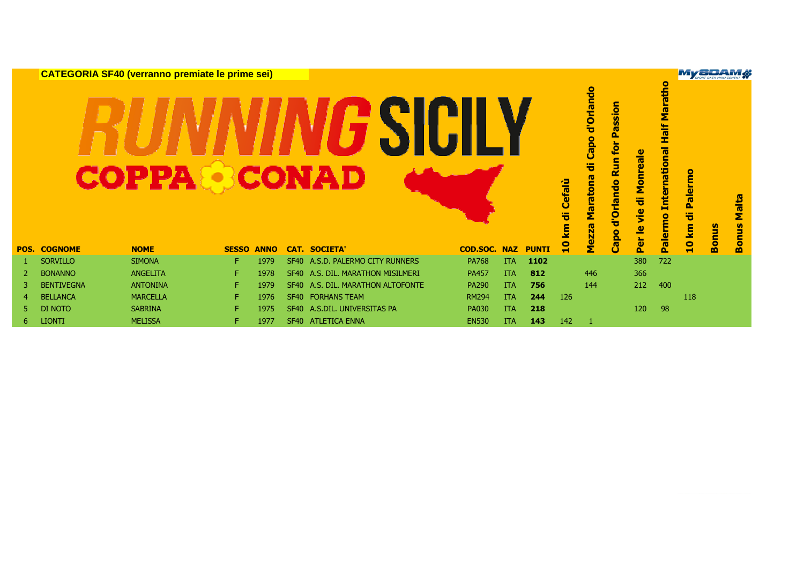|    |                     | <b>CATEGORIA SF40 (verranno premiate le prime sei)</b> |              |             |                  |                                  |                     |            |              |                  |                                                           |                                                            |                                                                                    |                       | <b>My SPORT DATA MANAGEMENT</b> |                              |
|----|---------------------|--------------------------------------------------------|--------------|-------------|------------------|----------------------------------|---------------------|------------|--------------|------------------|-----------------------------------------------------------|------------------------------------------------------------|------------------------------------------------------------------------------------|-----------------------|---------------------------------|------------------------------|
|    |                     | COPPA                                                  |              |             |                  | CONAD                            |                     |            |              | Cefalù<br>ㅎ<br>E | d'Orlando<br>Capo<br>등<br><b>Maratona</b><br><b>Mezza</b> | for Passion<br><b>Run</b><br>d'Orlando<br>등<br><b>Capo</b> | Half Maratho<br><b>International</b><br>Monreale<br><u>ie</u><br>Palermo<br>Per le | Palermo<br>ㅎ<br>10 km | <b>Bonus</b>                    | <b>Malta</b><br><b>Bonus</b> |
|    | <b>POS. COGNOME</b> | <b>NOME</b>                                            | <b>SESSO</b> | <b>ANNO</b> |                  | <b>CAT. SOCIETA'</b>             | <b>COD.SOC. NAZ</b> |            | <b>PUNTI</b> | $\mathbf{a}$     |                                                           |                                                            |                                                                                    |                       |                                 |                              |
|    | <b>SORVILLO</b>     | <b>SIMONA</b>                                          | F.           | 1979        |                  | SF40 A.S.D. PALERMO CITY RUNNERS | <b>PA768</b>        | <b>ITA</b> | 1102         |                  |                                                           |                                                            | 722<br>380                                                                         |                       |                                 |                              |
| 2  | <b>BONANNO</b>      | ANGELITA                                               | F.           | 1978        | SF40             | A.S. DIL. MARATHON MISILMERI     | <b>PA457</b>        | <b>ITA</b> | 812          |                  | 446                                                       |                                                            | 366                                                                                |                       |                                 |                              |
|    | <b>BENTIVEGNA</b>   | <b>ANTONINA</b>                                        | F.           | 1979        | SF <sub>40</sub> | A.S. DIL. MARATHON ALTOFONTE     | <b>PA290</b>        | <b>ITA</b> | 756          |                  | 144                                                       |                                                            | 212<br>400                                                                         |                       |                                 |                              |
| 4  | <b>BELLANCA</b>     | <b>MARCELLA</b>                                        | F.           | 1976        |                  | SF40 FORHANS TEAM                | <b>RM294</b>        | <b>ITA</b> | 244          | 126              |                                                           |                                                            |                                                                                    | 118                   |                                 |                              |
| 5  | DI NOTO             | <b>SABRINA</b>                                         | F.           | 1975        | SF40             | A.S.DIL. UNIVERSITAS PA          | <b>PA030</b>        | <b>ITA</b> | 218          |                  |                                                           |                                                            | 98<br>120                                                                          |                       |                                 |                              |
| 6. | <b>LIONTI</b>       | <b>MELISSA</b>                                         | F.           | 1977        | SF40             | <b>ATLETICA ENNA</b>             | <b>EN530</b>        | <b>ITA</b> | 143          | 142              | -1                                                        |                                                            |                                                                                    |                       |                                 |                              |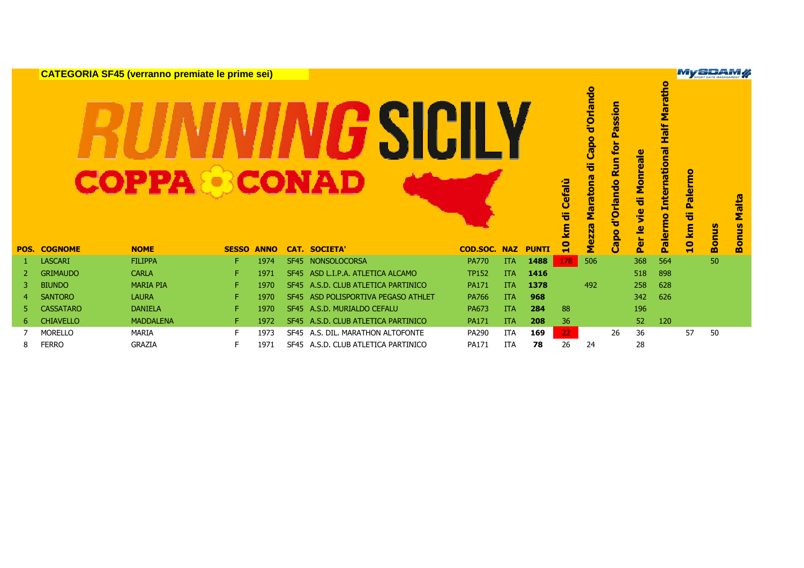|      |                  | <b>CATEGORIA SF45 (verranno premiate le prime sei)</b> |              |             |             |                                |              |            |              |                       |                                                 |                                                        |                                      |                                                           |                           | <b>My SPAM WAREHEART OF</b> |                                        |
|------|------------------|--------------------------------------------------------|--------------|-------------|-------------|--------------------------------|--------------|------------|--------------|-----------------------|-------------------------------------------------|--------------------------------------------------------|--------------------------------------|-----------------------------------------------------------|---------------------------|-----------------------------|----------------------------------------|
| POS. | <b>COGNOME</b>   | <b>COPPA &amp; CONAD</b><br><b>NOME</b>                | <b>SESSO</b> | <b>ANNO</b> |             | <b>CAT. SOCIETA</b>            | COD.SOC.     | <b>NAZ</b> | <b>PUNTI</b> | Cefalù<br>ㅎ<br>E<br>៓ | Capo d'Orlando<br>ᇂ<br>Maratona<br><b>Mezza</b> | assion<br>Δ.<br>for<br><b>Run</b><br>d'Orlando<br>Capo | Monreale<br>등<br><u>ie</u><br>Per le | Maratho<br><b>Half</b><br><b>International</b><br>Palermo | ۰<br>Palerm<br>ㅎ<br>10 km | <b>Bonus</b>                | Malta<br>$\mathbf{v}$<br>s<br>E<br>Bon |
|      | <b>LASCARI</b>   | <b>FILIPPA</b>                                         | F.           | 1974        | <b>SF45</b> | <b>NONSOLOCORSA</b>            | <b>PA770</b> | <b>ITA</b> | 1488         | 178                   | 506                                             |                                                        | 368                                  | 564                                                       |                           | 50                          |                                        |
| 2    | <b>GRIMAUDO</b>  | <b>CARLA</b>                                           | F.           | 1971        | <b>SF45</b> | ASD L.I.P.A. ATLETICA ALCAMO   | <b>TP152</b> | <b>ITA</b> | 1416         |                       |                                                 |                                                        | 518                                  | 898                                                       |                           |                             |                                        |
|      | <b>BIUNDO</b>    | <b>MARIA PIA</b>                                       | F.           | 1970        | <b>SF45</b> | A.S.D. CLUB ATLETICA PARTINICO | <b>PA171</b> | <b>ITA</b> | 1378         |                       | 492                                             |                                                        | 258                                  | 628                                                       |                           |                             |                                        |
|      | <b>SANTORO</b>   | <b>LAURA</b>                                           | F.           | 1970        | <b>SF45</b> | ASD POLISPORTIVA PEGASO ATHLET | <b>PA766</b> | <b>ITA</b> | 968          |                       |                                                 |                                                        | 342                                  | 626                                                       |                           |                             |                                        |
|      | <b>CASSATARO</b> | <b>DANIELA</b>                                         | F.           | 1970        | <b>SF45</b> | A.S.D. MURIALDO CEFALU         | PA673        | <b>ITA</b> | 284          | 88                    |                                                 |                                                        | 196                                  |                                                           |                           |                             |                                        |
| 6    | <b>CHIAVELLO</b> | <b>MADDALENA</b>                                       | F.           | 1972        | SF45        | A.S.D. CLUB ATLETICA PARTINICO | <b>PA171</b> | <b>ITA</b> | 208          | 36                    |                                                 |                                                        | 52                                   | 120                                                       |                           |                             |                                        |
|      | <b>MORELLO</b>   | MARIA                                                  | F.           | 1973        | SF45        | A.S. DIL. MARATHON ALTOFONTE   | PA290        | <b>ITA</b> | 169          | 22                    |                                                 | 26                                                     | 36                                   |                                                           | 57                        | 50                          |                                        |
| 8    | <b>FERRO</b>     | <b>GRAZIA</b>                                          | F            | 1971        | <b>SF45</b> | A.S.D. CLUB ATLETICA PARTINICO | PA171        | <b>ITA</b> | 78           | 26                    | 24                                              |                                                        | 28                                   |                                                           |                           |                             |                                        |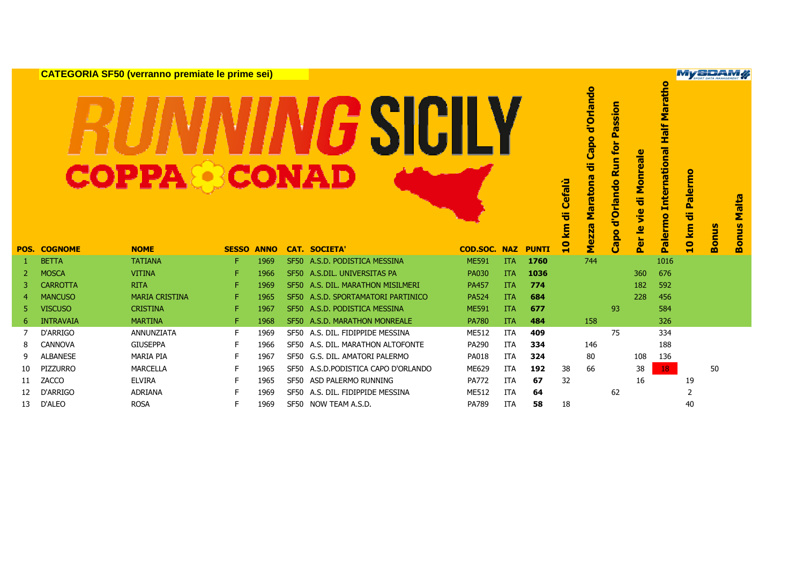|                |                     | <b>CATEGORIA SF50 (verranno premiate le prime sei)</b> |                   |      |                                     |                     |            |              |                                    |                                                       |                                                        |                                                                         |                                                             | <b>My SPORT DATA MANAGEMENT</b>   |              |                    |
|----------------|---------------------|--------------------------------------------------------|-------------------|------|-------------------------------------|---------------------|------------|--------------|------------------------------------|-------------------------------------------------------|--------------------------------------------------------|-------------------------------------------------------------------------|-------------------------------------------------------------|-----------------------------------|--------------|--------------------|
|                | <b>POS. COGNOME</b> | <b>COPPA®CONAD</b><br><b>NOME</b>                      | <b>SESSO ANNO</b> |      | <b>CAT. SOCIETA'</b>                | <b>COD.SOC. NAZ</b> |            | <b>PUNTI</b> | Cefalù<br>ㅎ<br>E<br>$\bullet$<br>H | Capo d'Orlando<br>᠊ᠲ<br>ma<br>arato<br>Σ<br>ezza<br>Σ | assion<br>ρ.<br>tor<br><b>Run</b><br>d'Orlando<br>Capo | reale<br>Mon<br>등<br><u>ie</u><br>$\overline{\mathbf{e}}$<br><b>Per</b> | <b>Half Maratho</b><br><b>International</b><br>alermo<br>Ď. | <b>Palermo</b><br>œ<br>ত<br>10 km | <b>Bonus</b> | Malta<br>onus<br>m |
|                | <b>BETTA</b>        | <b>TATIANA</b>                                         | F.                | 1969 | SF50 A.S.D. PODISTICA MESSINA       | <b>ME591</b>        | <b>ITA</b> | 1760         |                                    | 744                                                   |                                                        |                                                                         | 1016                                                        |                                   |              |                    |
| 2              | <b>MOSCA</b>        | <b>VITINA</b>                                          | F.                | 1966 | SF50 A.S.DIL. UNIVERSITAS PA        | <b>PA030</b>        | <b>ITA</b> | 1036         |                                    |                                                       |                                                        | 360                                                                     | 676                                                         |                                   |              |                    |
| 3              | <b>CARROTTA</b>     | <b>RITA</b>                                            | F.                | 1969 | SF50 A.S. DIL. MARATHON MISILMERI   | <b>PA457</b>        | <b>ITA</b> | 774          |                                    |                                                       |                                                        | 182                                                                     | 592                                                         |                                   |              |                    |
| $\overline{a}$ | <b>MANCUSO</b>      | <b>MARIA CRISTINA</b>                                  | F.                | 1965 | SF50 A.S.D. SPORTAMATORI PARTINICO  | <b>PA524</b>        | <b>ITA</b> | 684          |                                    |                                                       |                                                        | 228                                                                     | 456                                                         |                                   |              |                    |
| 5              | <b>VISCUSO</b>      | <b>CRISTINA</b>                                        | F.                | 1967 | SF50 A.S.D. PODISTICA MESSINA       | <b>ME591</b>        | <b>ITA</b> | 677          |                                    |                                                       | 93                                                     |                                                                         | 584                                                         |                                   |              |                    |
| 6              | <b>INTRAVAIA</b>    | <b>MARTINA</b>                                         | F.                | 1968 | SF50 A.S.D. MARATHON MONREALE       | <b>PA780</b>        | <b>ITA</b> | 484          |                                    | 158                                                   |                                                        |                                                                         | 326                                                         |                                   |              |                    |
| 7              | D'ARRIGO            | <b>ANNUNZIATA</b>                                      | F.                | 1969 | SF50 A.S. DIL. FIDIPPIDE MESSINA    | ME512               | <b>ITA</b> | 409          |                                    |                                                       | 75                                                     |                                                                         | 334                                                         |                                   |              |                    |
| 8              | <b>CANNOVA</b>      | <b>GIUSEPPA</b>                                        | F                 | 1966 | SF50 A.S. DIL. MARATHON ALTOFONTE   | PA290               | ITA        | 334          |                                    | 146                                                   |                                                        |                                                                         | 188                                                         |                                   |              |                    |
| 9              | <b>ALBANESE</b>     | <b>MARIA PIA</b>                                       | F                 | 1967 | SF50 G.S. DIL. AMATORI PALERMO      | PA018               | <b>ITA</b> | 324          |                                    | 80                                                    |                                                        | 108                                                                     | 136                                                         |                                   |              |                    |
| 10             | <b>PIZZURRO</b>     | <b>MARCELLA</b>                                        | F                 | 1965 | SF50 A.S.D.PODISTICA CAPO D'ORLANDO | ME629               | <b>ITA</b> | 192          | 38                                 | 66                                                    |                                                        | 38                                                                      | 18                                                          |                                   | 50           |                    |
| 11             | ZACCO               | <b>ELVIRA</b>                                          | F                 | 1965 | SF50 ASD PALERMO RUNNING            | <b>PA772</b>        | <b>ITA</b> | 67           | 32                                 |                                                       |                                                        | 16                                                                      |                                                             | 19                                |              |                    |
| 12             | D'ARRIGO            | <b>ADRIANA</b><br>----                                 | F                 | 1969 | SF50 A.S. DIL. FIDIPPIDE MESSINA    | <b>ME512</b>        | <b>ITA</b> | 64           |                                    |                                                       | 62                                                     |                                                                         |                                                             | $\overline{2}$                    |              |                    |

<sup>13</sup> D'ALEO ROSA <sup>F</sup> <sup>1969</sup> SF50 NOW TEAM A.S.D. PA789 ITA **<sup>58</sup>** <sup>18</sup> <sup>40</sup>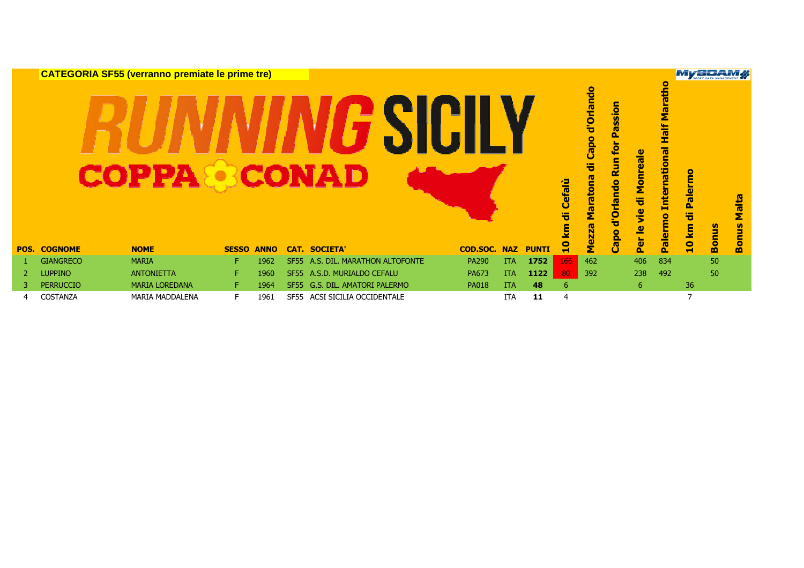|      |                  | <b>CATEGORIA SF55 (verranno premiate le prime tre)</b><br><b>COPPA &amp; CONAD</b> |              |             |             |                                |                 |            |              |                        | d'Orlando<br><b>Capo</b><br>᠊ӛ<br>ma | assion<br>ρ.<br>for<br><b>Run</b> | onreale                                | $\bullet$<br>Marath<br><b>Half</b><br><b>International</b> | <b>My SPAM</b>        |              |                                                       |
|------|------------------|------------------------------------------------------------------------------------|--------------|-------------|-------------|--------------------------------|-----------------|------------|--------------|------------------------|--------------------------------------|-----------------------------------|----------------------------------------|------------------------------------------------------------|-----------------------|--------------|-------------------------------------------------------|
| POS. | <b>COGNOME</b>   | <b>NOME</b>                                                                        | <b>SESSO</b> | <b>ANNO</b> |             | <b>CAT. SOCIETA'</b>           | <b>COD.SOC.</b> | <b>NAZ</b> | <b>PUNTI</b> | Cefalù<br>ㅎ<br>ξ<br>្ម | <b>Marato</b><br><b>Mez</b>          | <b>Orlando</b><br>ਚ<br>Capo       | Σ<br>튱<br><u>je</u><br>≗<br><b>Per</b> | Palermo                                                    | Palermo<br>튱<br>10 km | <b>Bonus</b> | <b>Malta</b><br><b>V)</b><br>Ē<br>c<br>$\overline{8}$ |
|      | <b>GIANGRECO</b> | <b>MARIA</b>                                                                       | F.           | 1962        | <b>SF55</b> | A.S. DIL. MARATHON ALTOFONTE   | <b>PA290</b>    | <b>ITA</b> | 1752         | 166                    | 462                                  |                                   | 406                                    | 834                                                        |                       | 50           |                                                       |
|      | <b>LUPPINO</b>   | <b>ANTONIETTA</b>                                                                  | F.           | 1960        |             | SF55 A.S.D. MURIALDO CEFALU    | PA673           | <b>ITA</b> | 1122         | 80                     | 392                                  |                                   | 238                                    | 492                                                        |                       | 50           |                                                       |
| 3    | <b>PERRUCCIO</b> | <b>MARIA LOREDANA</b>                                                              | F.           | 1964        |             | SF55 G.S. DIL. AMATORI PALERMO | <b>PA018</b>    | <b>ITA</b> | 48           | 6                      |                                      |                                   | 6                                      |                                                            | 36                    |              |                                                       |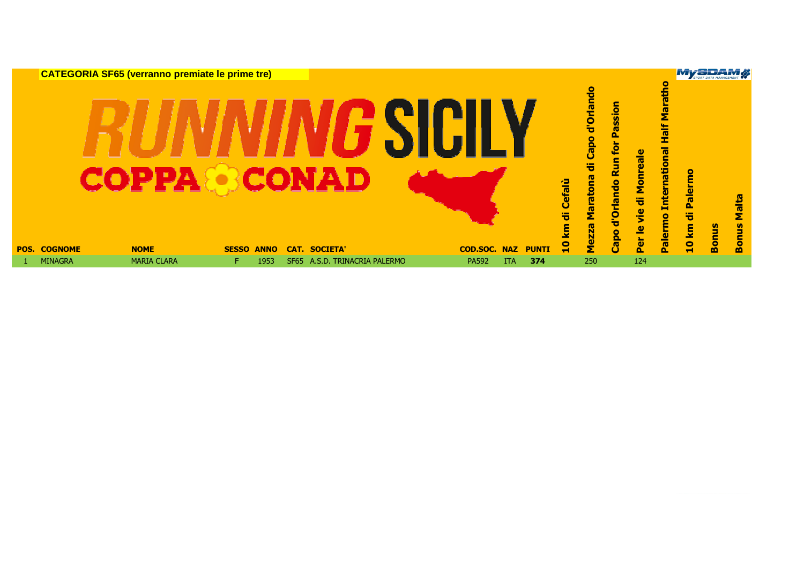|                     | <b>CATEGORIA SF65 (verranno premiate le prime tre)</b> |              |             |                               |                     |            |              | Cefalù<br>ㅎ<br><u>ទ</u> | Capo d'Orlando<br>ㅎ<br>Maratona<br><b>Mezza</b> | Passion<br>Run for<br><b>Orlando</b><br>ठ<br>Capo | Monreale<br>节<br><u>je</u><br>$\mathbf{Q}$ | Maratho<br><b>Half</b><br><b>International</b><br>Palermo | <b>My SIDAM !!</b><br>Palermo<br>등<br><u>ទ្</u> | <b>Bonus</b> | Malta<br><b>Bonus</b> |
|---------------------|--------------------------------------------------------|--------------|-------------|-------------------------------|---------------------|------------|--------------|-------------------------|-------------------------------------------------|---------------------------------------------------|--------------------------------------------|-----------------------------------------------------------|-------------------------------------------------|--------------|-----------------------|
| <b>POS. COGNOME</b> | <b>NOME</b>                                            | <b>SESSO</b> | <b>ANNO</b> | <b>CAT. SOCIETA'</b>          | <b>COD.SOC. NAZ</b> |            | <b>PUNTI</b> | $\mathbf{a}$            |                                                 |                                                   | Per                                        |                                                           | $\mathbf{a}$                                    |              |                       |
| <b>MINAGRA</b>      | <b>MARIA CLARA</b>                                     | F.           | 1953        | SF65 A.S.D. TRINACRIA PALERMO | <b>PA592</b>        | <b>ITA</b> | 374          |                         | 250                                             |                                                   | 124                                        |                                                           |                                                 |              |                       |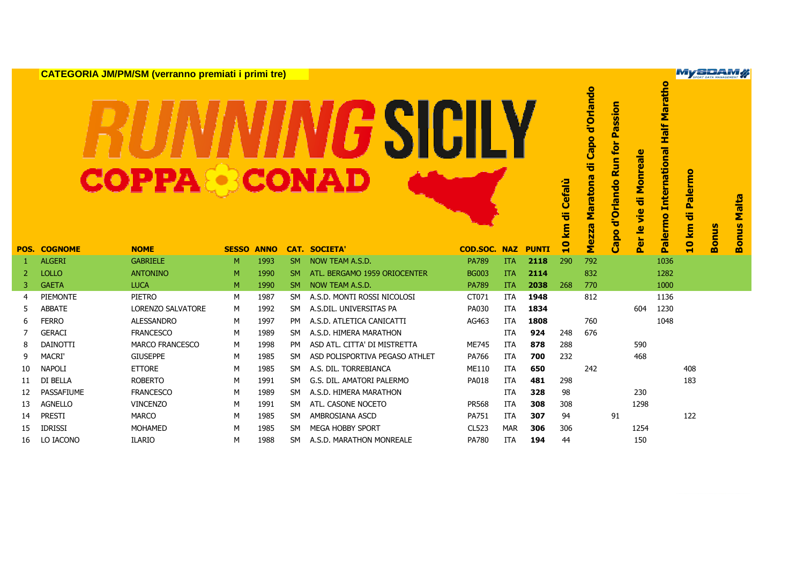|    |                     | <b>CATEGORIA JM/PM/SM (verranno premiati i primi tre)</b> |              |             |           |                                |                     |            |              |                             |                                         |                                                  |                                                |                                                        | <b>My SPAM</b>            |              |                       |
|----|---------------------|-----------------------------------------------------------|--------------|-------------|-----------|--------------------------------|---------------------|------------|--------------|-----------------------------|-----------------------------------------|--------------------------------------------------|------------------------------------------------|--------------------------------------------------------|---------------------------|--------------|-----------------------|
|    |                     | <b>COPPA®CONAD</b>                                        |              |             |           |                                |                     |            |              | Cefalù<br>ㅎ<br>$\mathbf{E}$ | Capo d'Orlando<br>ㅎ<br>Maratona<br>ezza | assion<br>௳<br>for<br>S<br>$\alpha$<br>d'Orlando | onreale<br>Σ<br>등<br><u>je</u><br>$\mathbf{Q}$ | <b>Half Maratho</b><br><b>International</b><br>Palermo | <b>Palermo</b><br>등<br>km | <b>Bonus</b> | Malta<br><b>Bonus</b> |
|    | <b>POS. COGNOME</b> | <b>NOME</b>                                               | <b>SESSO</b> | <b>ANNO</b> |           | <b>CAT. SOCIETA'</b>           | <b>COD.SOC. NAZ</b> |            | <b>PUNTI</b> | $\overline{10}$             | Σ                                       | Capo                                             | $\overleftarrow{\mathbf{a}}$<br>õ              |                                                        | $\bullet$                 |              |                       |
| -1 | <b>ALGERI</b>       | <b>GABRIELE</b>                                           | M            | 1993        | <b>SM</b> | NOW TEAM A.S.D.                | <b>PA789</b>        | <b>ITA</b> | 2118         | 290                         | 792                                     |                                                  |                                                | 1036                                                   |                           |              |                       |
| 2  | <b>LOLLO</b>        | <b>ANTONINO</b>                                           | M            | 1990        | <b>SM</b> | ATL, BERGAMO 1959 ORIOCENTER   | <b>BG003</b>        | <b>ITA</b> | 2114         |                             | 832                                     |                                                  |                                                | 1282                                                   |                           |              |                       |
| 3  | <b>GAETA</b>        | <b>LUCA</b>                                               | M            | 1990        | <b>SM</b> | NOW TEAM A.S.D.                | <b>PA789</b>        | <b>ITA</b> | 2038         | 268                         | 770                                     |                                                  |                                                | 1000                                                   |                           |              |                       |
| 4  | PIEMONTE            | PIETRO                                                    | M            | 1987        | <b>SM</b> | A.S.D. MONTI ROSSI NICOLOSI    | CT071               | ITA        | 1948         |                             | 812                                     |                                                  |                                                | 1136                                                   |                           |              |                       |
| 5  | <b>ABBATE</b>       | <b>LORENZO SALVATORE</b>                                  | M            | 1992        | <b>SM</b> | A.S.DIL. UNIVERSITAS PA        | PA030               | ITA        | 1834         |                             |                                         |                                                  | 604                                            | 1230                                                   |                           |              |                       |
| 6  | <b>FERRO</b>        | <b>ALESSANDRO</b>                                         | M            | 1997        | PM        | A.S.D. ATLETICA CANICATTI      | AG463               | <b>ITA</b> | 1808         |                             | 760                                     |                                                  |                                                | 1048                                                   |                           |              |                       |
| 7  | <b>GERACI</b>       | <b>FRANCESCO</b>                                          | M            | 1989        | <b>SM</b> | A.S.D. HIMERA MARATHON         |                     | ITA        | 924          | 248                         | 676                                     |                                                  |                                                |                                                        |                           |              |                       |
| 8  | <b>DAINOTTI</b>     | <b>MARCO FRANCESCO</b>                                    | M            | 1998        | <b>PM</b> | ASD ATL. CITTA' DI MISTRETTA   | <b>ME745</b>        | <b>ITA</b> | 878          | 288                         |                                         |                                                  | 590                                            |                                                        |                           |              |                       |
| 9  | MACRI'              | <b>GIUSEPPE</b>                                           | M            | 1985        | <b>SM</b> | ASD POLISPORTIVA PEGASO ATHLET | PA766               | <b>ITA</b> | 700          | 232                         |                                         |                                                  | 468                                            |                                                        |                           |              |                       |
| 10 | <b>NAPOLI</b>       | <b>ETTORE</b>                                             | M            | 1985        | <b>SM</b> | A.S. DIL. TORREBIANCA          | ME110               | <b>ITA</b> | 650          |                             | 242                                     |                                                  |                                                |                                                        | 408                       |              |                       |
| 11 | DI BELLA            | <b>ROBERTO</b>                                            | M            | 1991        | <b>SM</b> | G.S. DIL. AMATORI PALERMO      | PA018               | ITA        | 481          | 298                         |                                         |                                                  |                                                |                                                        | 183                       |              |                       |
| 12 | PASSAFIUME          | <b>FRANCESCO</b>                                          | M            | 1989        | <b>SM</b> | A.S.D. HIMERA MARATHON         |                     | ITA        | 328          | 98                          |                                         |                                                  | 230                                            |                                                        |                           |              |                       |
| 13 | <b>AGNELLO</b>      | <b>VINCENZO</b>                                           | M            | 1991        | <b>SM</b> | ATL. CASONE NOCETO             | <b>PR568</b>        | ITA        | 308          | 308                         |                                         |                                                  | 1298                                           |                                                        |                           |              |                       |
| 14 | PRESTI              | <b>MARCO</b>                                              | M            | 1985        | <b>SM</b> | AMBROSIANA ASCD                | PA751               | ITA        | 307          | 94                          |                                         | 91                                               |                                                |                                                        | 122                       |              |                       |
| 15 | <b>IDRISSI</b>      | <b>MOHAMED</b>                                            | M            | 1985        | <b>SM</b> | <b>MEGA HOBBY SPORT</b>        | <b>CL523</b>        | <b>MAR</b> | 306          | 306                         |                                         |                                                  | 1254                                           |                                                        |                           |              |                       |
| 16 | LO IACONO           | <b>ILARIO</b>                                             | M            | 1988        | <b>SM</b> | A.S.D. MARATHON MONREALE       | PA780               | <b>ITA</b> | 194          | 44                          |                                         |                                                  | 150                                            |                                                        |                           |              |                       |

ŀ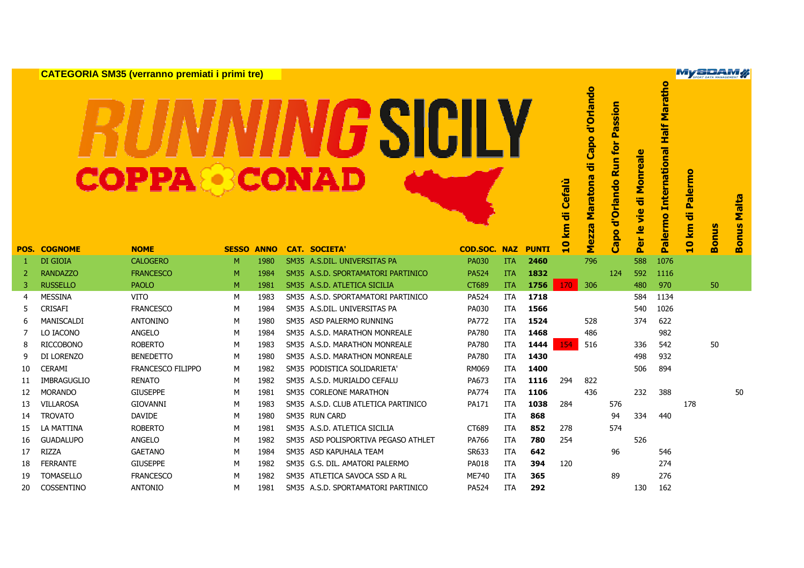**CATEGORIA SM35 (verranno premiati i primi tre)**MySDAM **Palermo International Half Marathon Half Maratho** Capo d'Orlando **Mezza Maratona di Capo d'Orlando** GSICILY d'Orlando Run for Passion **Capo d'Orlando Run for Passion** Palermo International Per le vie di Monreale **Per le vie di Monreale** 气 10 km di Palermo **10 km di Palermo** Maratona **POS.**<br> **POS.**<br> **POS.**<br> **POS.**<br> **POS.**<br> **POS.**<br> **POS.**<br> **POS.**<br> **POS.**<br> **POS.**<br> **POS.**<br> **POS.**<br> **POS.**<br> **POS.**<br> **POS.**<br> **POS.**<br> **POS.**<br> **POS.**<br> **POS.**<br> **POS.**<br> **POS.**<br> **POS.**<br> **POS.**<br> **POS.**<br> **POS.**<br> **POS.**<br> **POS.**<br> **POS.** onus Malta **Bonus Malta** ezza **Bonus**  Capo Σ m <sup>1</sup> DI GIOIA CALOGERO <sup>M</sup> <sup>1980</sup> SM35 A.S.DIL. UNIVERSITAS PA PA030 ITA **<sup>2460</sup>** <sup>796</sup> <sup>588</sup> <sup>1076</sup> <sup>2</sup> RANDAZZO FRANCESCO <sup>M</sup> <sup>1984</sup> SM35 A.S.D. SPORTAMATORI PARTINICO PA524 ITA **<sup>1832</sup>** <sup>124</sup> <sup>592</sup> <sup>1116</sup> <sup>3</sup> RUSSELLO PAOLO <sup>M</sup> <sup>1981</sup> SM35 A.S.D. ATLETICA SICILIA CT689 ITA **<sup>1756</sup>** <sup>170</sup> <sup>306</sup> <sup>480</sup> <sup>970</sup> <sup>50</sup> <sup>4</sup> MESSINA VITO <sup>M</sup> <sup>1983</sup> SM35 A.S.D. SPORTAMATORI PARTINICO PA524 ITA **<sup>1718</sup>** <sup>584</sup> <sup>1134</sup> <sup>5</sup> CRISAFI FRANCESCO <sup>M</sup> <sup>1984</sup> SM35 A.S.DIL. UNIVERSITAS PA PA030 ITA **<sup>1566</sup>** <sup>540</sup> <sup>1026</sup> <sup>6</sup> MANISCALDI ANTONINO <sup>M</sup> <sup>1980</sup> SM35 ASD PALERMO RUNNING PA772 ITA **<sup>1524</sup>** <sup>528</sup> <sup>374</sup> <sup>622</sup> <sup>7</sup> LO IACONO ANGELO <sup>M</sup> <sup>1984</sup> SM35 A.S.D. MARATHON MONREALE PA780 ITA **<sup>1468</sup>** <sup>486</sup> <sup>982</sup> <sup>8</sup> RICCOBONO ROBERTO <sup>M</sup> <sup>1983</sup> SM35 A.S.D. MARATHON MONREALE PA780 ITA **<sup>1444</sup>** <sup>154</sup> <sup>516</sup> <sup>336</sup> <sup>542</sup> <sup>50</sup> <sup>9</sup> DI LORENZO BENEDETTO <sup>M</sup> <sup>1980</sup> SM35 A.S.D. MARATHON MONREALE PA780 ITA **<sup>1430</sup>** <sup>498</sup> <sup>932</sup> <sup>10</sup> CERAMI FRANCESCO FILIPPO <sup>M</sup> <sup>1982</sup> SM35 PODISTICA SOLIDARIETA' RM069 ITA **<sup>1400</sup>** <sup>506</sup> <sup>894</sup> <sup>11</sup> IMBRAGUGLIO RENATO <sup>M</sup> <sup>1982</sup> SM35 A.S.D. MURIALDO CEFALU PA673 ITA **<sup>1116</sup>** <sup>294</sup> <sup>822</sup> <sup>12</sup> MORANDO GIUSEPPE <sup>M</sup> <sup>1981</sup> SM35 CORLEONE MARATHON PA774 ITA **<sup>1106</sup>** <sup>436</sup> <sup>232</sup> <sup>388</sup> <sup>50</sup> <sup>13</sup> VILLAROSA GIOVANNI <sup>M</sup> <sup>1983</sup> SM35 A.S.D. CLUB ATLETICA PARTINICO PA171 ITA **<sup>1038</sup>** <sup>284</sup> <sup>576</sup> <sup>178</sup> <sup>14</sup> TROVATO DAVIDE <sup>M</sup> <sup>1980</sup> SM35 RUN CARD ITA **<sup>868</sup>** <sup>94</sup> <sup>334</sup> <sup>440</sup> <sup>15</sup> LA MATTINA ROBERTO <sup>M</sup> <sup>1981</sup> SM35 A.S.D. ATLETICA SICILIA CT689 ITA **<sup>852</sup>** <sup>278</sup> <sup>574</sup> <sup>16</sup> GUADALUPO ANGELO <sup>M</sup> <sup>1982</sup> SM35 ASD POLISPORTIVA PEGASO ATHLET PA766 ITA **<sup>780</sup>** <sup>254</sup> <sup>526</sup> <sup>17</sup> RIZZA GAETANO <sup>M</sup> <sup>1984</sup> SM35 ASD KAPUHALA TEAM SR633 ITA **<sup>642</sup>** <sup>96</sup> <sup>546</sup> <sup>18</sup> FERRANTE GIUSEPPE <sup>M</sup> <sup>1982</sup> SM35 G.S. DIL. AMATORI PALERMO PA018 ITA **<sup>394</sup>** <sup>120</sup> <sup>274</sup> <sup>19</sup> TOMASELLO FRANCESCO <sup>M</sup> <sup>1982</sup> SM35 ATLETICA SAVOCA SSD A RL ME740 ITA **<sup>365</sup>** <sup>89</sup> <sup>276</sup>

<sup>20</sup> COSSENTINO ANTONIO <sup>M</sup> <sup>1981</sup> SM35 A.S.D. SPORTAMATORI PARTINICO PA524 ITA **<sup>292</sup>** <sup>130</sup> <sup>162</sup>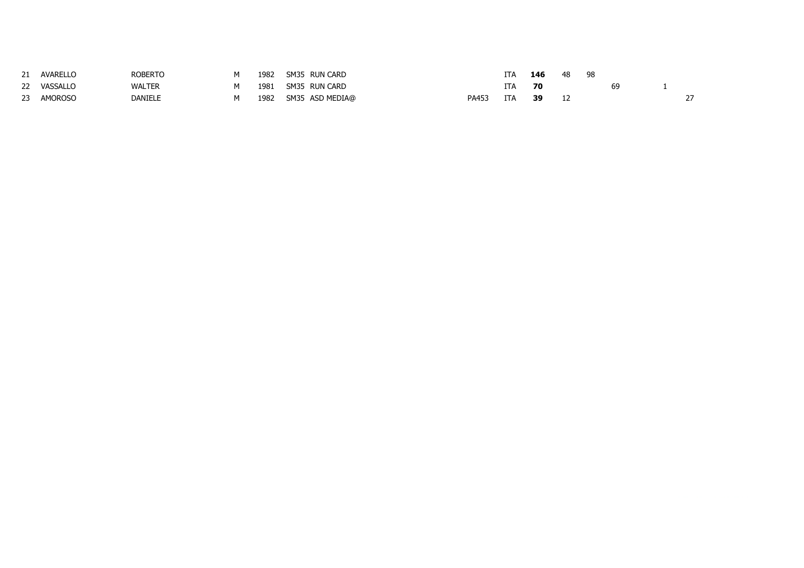|    | AVARELLO       | <b>ROBERTO</b> | NЛ | 1982 | SM35 RUN CARD   |       |     | 146 | 48 | 98 |    |  |
|----|----------------|----------------|----|------|-----------------|-------|-----|-----|----|----|----|--|
| 22 | VASSALLO       | <b>WALTER</b>  |    | 1981 | SM35 RUN CARD   |       |     | 70  |    |    | 69 |  |
|    | <b>AMOROSO</b> | <b>DANIELE</b> | NЛ | 1982 | SM35 ASD MEDIA@ | PA453 | ITA | 39  |    |    |    |  |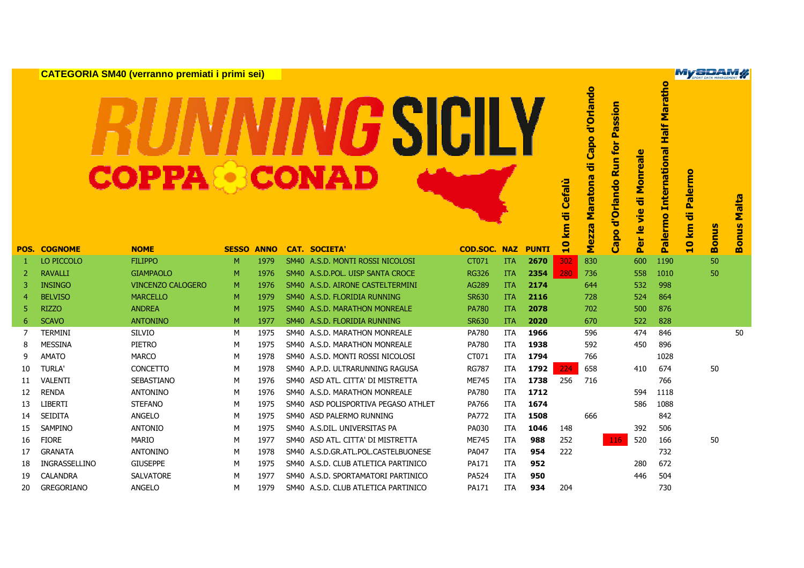|    |                     | <b>CATEGORIA SM40 (verranno premiati i primi sei)</b> |              |             |             |                                     |                     |            |              |                  |                                                |                                                          |                                                                           |                                              | <b>My SPAM X</b>   |              |                       |
|----|---------------------|-------------------------------------------------------|--------------|-------------|-------------|-------------------------------------|---------------------|------------|--------------|------------------|------------------------------------------------|----------------------------------------------------------|---------------------------------------------------------------------------|----------------------------------------------|--------------------|--------------|-----------------------|
|    |                     | <b>COPPA®CONAD</b>                                    |              |             |             | <i>G</i> SIC                        |                     |            |              | Cefalù<br>ㅎ<br>E | Capo d'Orlando<br>ㅎ<br><b>Maratona</b><br>ezza | Passion<br>for<br>$\mathbf{S}$<br>≃<br>d'Orlando<br>Capo | onreale<br>Σ<br>ä<br><u>ie</u><br>$\mathbf{Q}$<br>$\overline{\mathbf{a}}$ | <b>International Half Maratho</b><br>Palermo | Palermo<br>ㅎ<br>km | <b>Bonus</b> | Malta<br><b>Bonus</b> |
|    | <b>POS. COGNOME</b> | <b>NOME</b>                                           | <b>SESSO</b> | <b>ANNO</b> |             | <b>CAT. SOCIETA'</b>                | <b>COD.SOC. NAZ</b> |            | <b>PUNTI</b> | $\mathbf{a}$     | Σ                                              |                                                          | 0.                                                                        |                                              | $\bullet$          |              |                       |
| 1  | LO PICCOLO          | <b>FILIPPO</b>                                        | M            | 1979        |             | SM40 A.S.D. MONTI ROSSI NICOLOSI    | CT071               | <b>ITA</b> | 2670         | 302              | 830                                            |                                                          | 600                                                                       | 1190                                         |                    | 50           |                       |
| 2  | <b>RAVALLI</b>      | <b>GIAMPAOLO</b>                                      | M            | 1976        |             | SM40 A.S.D.POL. UISP SANTA CROCE    | <b>RG326</b>        | <b>ITA</b> | 2354         | 280              | 736                                            |                                                          | 558                                                                       | 1010                                         |                    | 50           |                       |
| 3  | <b>INSINGO</b>      | <b>VINCENZO CALOGERO</b>                              | M            | 1976        |             | SM40 A.S.D. AIRONE CASTELTERMINI    | AG289               | <b>ITA</b> | 2174         |                  | 644                                            |                                                          | 532                                                                       | 998                                          |                    |              |                       |
| 4  | <b>BELVISO</b>      | <b>MARCELLO</b>                                       | M            | 1979        |             | SM40 A.S.D. FLORIDIA RUNNING        | <b>SR630</b>        | <b>ITA</b> | 2116         |                  | 728                                            |                                                          | 524                                                                       | 864                                          |                    |              |                       |
| 5  | <b>RIZZO</b>        | <b>ANDREA</b>                                         | M            | 1975        |             | SM40 A.S.D. MARATHON MONREALE       | <b>PA780</b>        | <b>ITA</b> | 2078         |                  | 702                                            |                                                          | 500                                                                       | 876                                          |                    |              |                       |
| 6  | <b>SCAVO</b>        | <b>ANTONINO</b>                                       | M            | 1977        |             | SM40 A.S.D. FLORIDIA RUNNING        | <b>SR630</b>        | <b>ITA</b> | 2020         |                  | 670                                            |                                                          | 522                                                                       | 828                                          |                    |              |                       |
| 7  | <b>TERMINI</b>      | <b>SILVIO</b>                                         | М            | 1975        |             | SM40 A.S.D. MARATHON MONREALE       | <b>PA780</b>        | ITA        | 1966         |                  | 596                                            |                                                          | 474                                                                       | 846                                          |                    |              | 50                    |
| 8  | <b>MESSINA</b>      | PIETRO                                                | М            | 1975        |             | SM40 A.S.D. MARATHON MONREALE       | <b>PA780</b>        | ITA        | 1938         |                  | 592                                            |                                                          | 450                                                                       | 896                                          |                    |              |                       |
| 9  | <b>AMATO</b>        | <b>MARCO</b>                                          | M            | 1978        |             | SM40 A.S.D. MONTI ROSSI NICOLOSI    | CT071               | ITA        | 1794         |                  | 766                                            |                                                          |                                                                           | 1028                                         |                    |              |                       |
| 10 | <b>TURLA'</b>       | <b>CONCETTO</b>                                       | M            | 1978        |             | SM40 A.P.D. ULTRARUNNING RAGUSA     | <b>RG787</b>        | <b>ITA</b> | 1792         | 224              | 658                                            |                                                          | 410                                                                       | 674                                          |                    | 50           |                       |
| 11 | VALENTI             | <b>SEBASTIANO</b>                                     | M            | 1976        |             | SM40 ASD ATL, CITTA' DI MISTRETTA   | <b>ME745</b>        | <b>ITA</b> | 1738         | 256              | 716                                            |                                                          |                                                                           | 766                                          |                    |              |                       |
| 12 | <b>RENDA</b>        | <b>ANTONINO</b>                                       | M            | 1976        |             | SM40 A.S.D. MARATHON MONREALE       | <b>PA780</b>        | <b>ITA</b> | 1712         |                  |                                                |                                                          | 594                                                                       | 1118                                         |                    |              |                       |
| 13 | <b>LIBERTI</b>      | <b>STEFANO</b>                                        | M            | 1975        |             | SM40 ASD POLISPORTIVA PEGASO ATHLET | PA766               | ITA        | 1674         |                  |                                                |                                                          | 586                                                                       | 1088                                         |                    |              |                       |
| 14 | <b>SEIDITA</b>      | <b>ANGELO</b>                                         | M            | 1975        |             | SM40 ASD PALERMO RUNNING            | <b>PA772</b>        | ITA        | 1508         |                  | 666                                            |                                                          |                                                                           | 842                                          |                    |              |                       |
| 15 | <b>SAMPINO</b>      | <b>ANTONIO</b>                                        | M            | 1975        |             | SM40 A.S.DIL. UNIVERSITAS PA        | PA030               | ITA        | 1046         | 148              |                                                |                                                          | 392                                                                       | 506                                          |                    |              |                       |
| 16 | <b>FIORE</b>        | <b>MARIO</b>                                          | M            | 1977        |             | SM40 ASD ATL. CITTA' DI MISTRETTA   | <b>ME745</b>        | ITA        | 988          | 252              |                                                | 116                                                      | 520                                                                       | 166                                          |                    | 50           |                       |
| 17 | <b>GRANATA</b>      | <b>ANTONINO</b>                                       | M            | 1978        |             | SM40 A.S.D.GR.ATL.POL.CASTELBUONESE | PA047               | ITA        | 954          | 222              |                                                |                                                          |                                                                           | 732                                          |                    |              |                       |
| 18 | INGRASSELLINO       | <b>GIUSEPPE</b>                                       | M            | 1975        |             | SM40 A.S.D. CLUB ATLETICA PARTINICO | PA171               | ITA        | 952          |                  |                                                |                                                          | 280                                                                       | 672                                          |                    |              |                       |
| 19 | <b>CALANDRA</b>     | <b>SALVATORE</b>                                      | M            | 1977        | <b>SM40</b> | A.S.D. SPORTAMATORI PARTINICO       | <b>PA524</b>        | <b>ITA</b> | 950          |                  |                                                |                                                          | 446                                                                       | 504                                          |                    |              |                       |
| 20 | <b>GREGORIANO</b>   | <b>ANGELO</b>                                         | M            | 1979        |             | SM40 A.S.D. CLUB ATLETICA PARTINICO | PA171               | <b>ITA</b> | 934          | 204              |                                                |                                                          |                                                                           | 730                                          |                    |              |                       |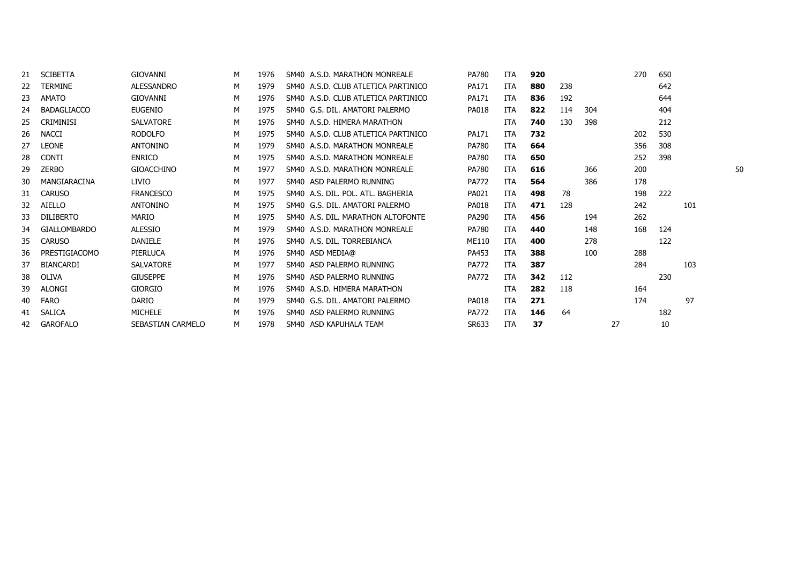| 21 | <b>SCIBETTA</b>     | <b>GIOVANNI</b>   | M | 1976 | SM40 A.S.D. MARATHON MONREALE       | PA780        | ITA        | 920 |     |     |    | 270 | 650 |     |    |
|----|---------------------|-------------------|---|------|-------------------------------------|--------------|------------|-----|-----|-----|----|-----|-----|-----|----|
| 22 | TERMINE             | ALESSANDRO        | M | 1979 | SM40 A.S.D. CLUB ATLETICA PARTINICO | PA171        | ITA        | 880 | 238 |     |    |     | 642 |     |    |
| 23 | <b>AMATO</b>        | <b>GIOVANNI</b>   | M | 1976 | SM40 A.S.D. CLUB ATLETICA PARTINICO | PA171        | ITA        | 836 | 192 |     |    |     | 644 |     |    |
| 24 | <b>BADAGLIACCO</b>  | <b>EUGENIO</b>    | M | 1975 | SM40 G.S. DIL. AMATORI PALERMO      | <b>PA018</b> | ITA        | 822 | 114 | 304 |    |     | 404 |     |    |
| 25 | <b>CRIMINISI</b>    | <b>SALVATORE</b>  | M | 1976 | SM40 A.S.D. HIMERA MARATHON         |              | ITA        | 740 | 130 | 398 |    |     | 212 |     |    |
| 26 | <b>NACCI</b>        | <b>RODOLFO</b>    | м | 1975 | SM40 A.S.D. CLUB ATLETICA PARTINICO | PA171        | ITA        | 732 |     |     |    | 202 | 530 |     |    |
| 27 | <b>LEONE</b>        | <b>ANTONINO</b>   | M | 1979 | SM40 A.S.D. MARATHON MONREALE       | <b>PA780</b> | ITA        | 664 |     |     |    | 356 | 308 |     |    |
| 28 | <b>CONTI</b>        | <b>ENRICO</b>     | M | 1975 | SM40 A.S.D. MARATHON MONREALE       | <b>PA780</b> | ITA        | 650 |     |     |    | 252 | 398 |     |    |
| 29 | <b>ZERBO</b>        | <b>GIOACCHINO</b> | M | 1977 | SM40 A.S.D. MARATHON MONREALE       | <b>PA780</b> | ITA        | 616 |     | 366 |    | 200 |     |     | 50 |
| 30 | MANGIARACINA        | <b>LIVIO</b>      | м | 1977 | SM40 ASD PALERMO RUNNING            | <b>PA772</b> | ITA        | 564 |     | 386 |    | 178 |     |     |    |
| 31 | <b>CARUSO</b>       | <b>FRANCESCO</b>  | M | 1975 | SM40 A.S. DIL. POL. ATL. BAGHERIA   | PA021        | ITA        | 498 | 78  |     |    | 198 | 222 |     |    |
| 32 | <b>AIELLO</b>       | <b>ANTONINO</b>   | M | 1975 | SM40 G.S. DIL. AMATORI PALERMO      | <b>PA018</b> | <b>ITA</b> | 471 | 128 |     |    | 242 |     | 101 |    |
| 33 | <b>DILIBERTO</b>    | MARIO             | м | 1975 | SM40 A.S. DIL. MARATHON ALTOFONTE   | PA290        | ITA        | 456 |     | 194 |    | 262 |     |     |    |
| 34 | <b>GIALLOMBARDO</b> | <b>ALESSIO</b>    | M | 1979 | SM40 A.S.D. MARATHON MONREALE       | PA780        | ITA        | 440 |     | 148 |    | 168 | 124 |     |    |
| 35 | <b>CARUSO</b>       | DANIELE           | M | 1976 | SM40 A.S. DIL. TORREBIANCA          | ME110        | ITA        | 400 |     | 278 |    |     | 122 |     |    |
| 36 | PRESTIGIACOMO       | PIERLUCA          | M | 1976 | SM40 ASD MEDIA@                     | PA453        | ITA        | 388 |     | 100 |    | 288 |     |     |    |
| 37 | <b>BIANCARDI</b>    | <b>SALVATORE</b>  | M | 1977 | SM40 ASD PALERMO RUNNING            | <b>PA772</b> | ITA        | 387 |     |     |    | 284 |     | 103 |    |
| 38 | <b>OLIVA</b>        | <b>GIUSEPPE</b>   | M | 1976 | SM40 ASD PALERMO RUNNING            | <b>PA772</b> | ITA        | 342 | 112 |     |    |     | 230 |     |    |
| 39 | <b>ALONGI</b>       | <b>GIORGIO</b>    | M | 1976 | SM40 A.S.D. HIMERA MARATHON         |              | ITA        | 282 | 118 |     |    | 164 |     |     |    |
| 40 | <b>FARO</b>         | <b>DARIO</b>      | M | 1979 | SM40 G.S. DIL. AMATORI PALERMO      | <b>PA018</b> | ITA        | 271 |     |     |    | 174 |     | 97  |    |
| 41 | <b>SALICA</b>       | <b>MICHELE</b>    | M | 1976 | SM40 ASD PALERMO RUNNING            | <b>PA772</b> | ITA        | 146 | 64  |     |    |     | 182 |     |    |
| 42 | <b>GAROFALO</b>     | SEBASTIAN CARMELO | M | 1978 | SM40 ASD KAPUHALA TEAM              | SR633        | ITA        | 37  |     |     | 27 |     | 10  |     |    |
|    |                     |                   |   |      |                                     |              |            |     |     |     |    |     |     |     |    |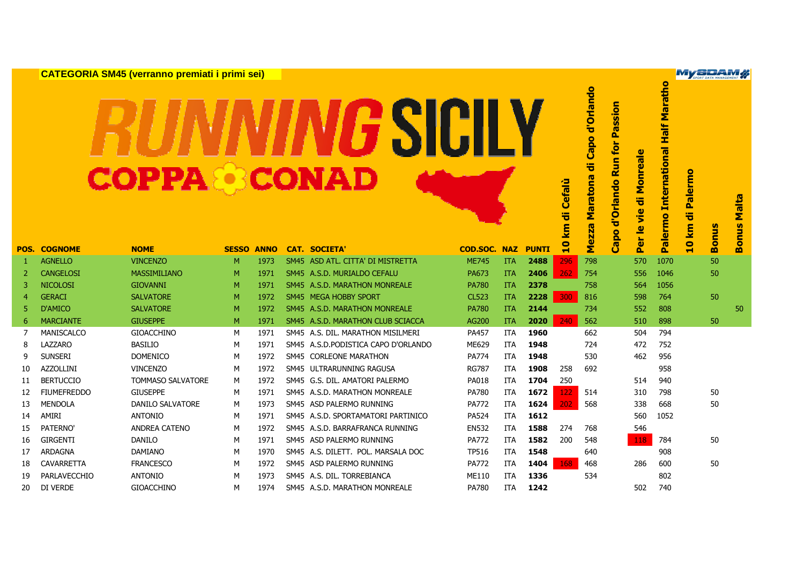**CATEGORIA SM45 (verranno premiati i primi sei)**

## GSICILY

|    |                     |                         |              |             |                                      |                     |            |              |                         |                                        |                                                          |                                                                | $\overline{\bullet}$                                                                        |                          | SPORT DATA MANAGEMENT |                         |
|----|---------------------|-------------------------|--------------|-------------|--------------------------------------|---------------------|------------|--------------|-------------------------|----------------------------------------|----------------------------------------------------------|----------------------------------------------------------------|---------------------------------------------------------------------------------------------|--------------------------|-----------------------|-------------------------|
|    |                     | <b>COPPA&amp;BCONAD</b> |              |             | <b>SIC</b>                           |                     |            |              | <b>Cefalù</b><br>ㅎ<br>E | po d'Orlando<br>ㅎ<br>Maratona<br>Mezza | Passion<br>for<br>$\mathbf{S}$<br>≃<br>d'Orlando<br>Capo | <b>reale</b><br>Σ<br>ㅎ<br><u>ie</u><br>$\overline{\mathbf{e}}$ | arath<br><b>Half M</b><br>$\overline{\mathbf{a}}$<br><b>Internation</b><br>$\bullet$<br>erm | <b>Palermo</b><br>ㅎ<br>E | <b>Bonus</b>          | Malta<br>nus            |
|    | <b>POS. COGNOME</b> | <b>NOME</b>             | <b>SESSO</b> | <b>ANNO</b> | <b>CAT. SOCIETA'</b>                 | <b>COD.SOC. NAZ</b> |            | <b>PUNTI</b> | $\mathbf{a}$            |                                        |                                                          | Per                                                            | $\overline{\overline{6}}$                                                                   | $\bullet$                |                       | $\overline{\mathbf{5}}$ |
| 1  | <b>AGNELLO</b>      | <b>VINCENZO</b>         | M            | 1973        | SM45 ASD ATL, CITTA' DI MISTRETTA    | <b>ME745</b>        | <b>ITA</b> | 2488         | 296                     | 798                                    |                                                          | 570                                                            | 1070                                                                                        |                          | 50                    |                         |
| 2  | <b>CANGELOSI</b>    | <b>MASSIMILIANO</b>     | M            | 1971        | SM45 A.S.D. MURIALDO CEFALU          | <b>PA673</b>        | <b>ITA</b> | 2406         | 262                     | 754                                    |                                                          | 556                                                            | 1046                                                                                        |                          | 50                    |                         |
| 3  | <b>NICOLOSI</b>     | <b>GIOVANNI</b>         | M            | 1971        | SM45 A.S.D. MARATHON MONREALE        | <b>PA780</b>        | <b>ITA</b> | 2378         |                         | 758                                    |                                                          | 564                                                            | 1056                                                                                        |                          |                       |                         |
| 4  | <b>GERACI</b>       | <b>SALVATORE</b>        | M            | 1972        | SM45 MEGA HOBBY SPORT                | <b>CL523</b>        | <b>ITA</b> | 2228         | 300                     | 816                                    |                                                          | 598                                                            | 764                                                                                         |                          | 50                    |                         |
| 5  | <b>D'AMICO</b>      | <b>SALVATORE</b>        | M            | 1972        | SM45 A.S.D. MARATHON MONREALE        | <b>PA780</b>        | <b>ITA</b> | 2144         |                         | 734                                    |                                                          | 552                                                            | 808                                                                                         |                          |                       | 50                      |
| 6  | <b>MARCIANTE</b>    | <b>GIUSEPPE</b>         | M            | 1971        | SM45 A.S.D. MARATHON CLUB SCIACCA    | AG200               | <b>ITA</b> | 2020         | 240                     | 562                                    |                                                          | 510                                                            | 898                                                                                         |                          | 50                    |                         |
| 7  | <b>MANISCALCO</b>   | <b>GIOACCHINO</b>       | M            | 1971        | SM45 A.S. DIL. MARATHON MISILMERI    | PA457               | <b>ITA</b> | 1960         |                         | 662                                    |                                                          | 504                                                            | 794                                                                                         |                          |                       |                         |
| 8  | LAZZARO             | <b>BASILIO</b>          | M            | 1971        | SM45 A.S.D. PODISTICA CAPO D'ORLANDO | ME629               | <b>ITA</b> | 1948         |                         | 724                                    |                                                          | 472                                                            | 752                                                                                         |                          |                       |                         |
| 9  | <b>SUNSERI</b>      | <b>DOMENICO</b>         | M            | 1972        | SM45 CORLEONE MARATHON               | <b>PA774</b>        | <b>ITA</b> | 1948         |                         | 530                                    |                                                          | 462                                                            | 956                                                                                         |                          |                       |                         |
| 10 | <b>AZZOLLINI</b>    | <b>VINCENZO</b>         | M            | 1972        | SM45 ULTRARUNNING RAGUSA             | <b>RG787</b>        | <b>ITA</b> | 1908         | 258                     | 692                                    |                                                          |                                                                | 958                                                                                         |                          |                       |                         |
| 11 | <b>BERTUCCIO</b>    | TOMMASO SALVATORE       | М            | 1972        | SM45 G.S. DIL. AMATORI PALERMO       | PA018               | <b>ITA</b> | 1704         | 250                     |                                        |                                                          | 514                                                            | 940                                                                                         |                          |                       |                         |
| 12 | <b>FIUMEFREDDO</b>  | <b>GIUSEPPE</b>         | M            | 1971        | SM45 A.S.D. MARATHON MONREALE        | <b>PA780</b>        | <b>ITA</b> | 1672         | 122                     | 514                                    |                                                          | 310                                                            | 798                                                                                         |                          | 50                    |                         |
| 13 | <b>MENDOLA</b>      | <b>DANILO SALVATORE</b> | м            | 1973        | SM45 ASD PALERMO RUNNING             | <b>PA772</b>        | <b>ITA</b> | 1624         | 202                     | 568                                    |                                                          | 338                                                            | 668                                                                                         |                          | 50                    |                         |
| 14 | AMIRI               | <b>ANTONIO</b>          | M            | 1971        | SM45 A.S.D. SPORTAMATORI PARTINICO   | PA524               | <b>ITA</b> | 1612         |                         |                                        |                                                          | 560                                                            | 1052                                                                                        |                          |                       |                         |
| 15 | PATERNO'            | <b>ANDREA CATENO</b>    | м            | 1972        | SM45 A.S.D. BARRAFRANCA RUNNING      | <b>EN532</b>        | <b>ITA</b> | 1588         | 274                     | 768                                    |                                                          | 546                                                            |                                                                                             |                          |                       |                         |
| 16 | <b>GIRGENTI</b>     | <b>DANILO</b>           | M            | 1971        | SM45 ASD PALERMO RUNNING             | <b>PA772</b>        | <b>ITA</b> | 1582         | 200                     | 548                                    |                                                          | 118                                                            | 784                                                                                         |                          | 50                    |                         |
| 17 | <b>ARDAGNA</b>      | <b>DAMIANO</b>          | M            | 1970        | SM45 A.S. DILETT. POL. MARSALA DOC   | <b>TP516</b>        | <b>ITA</b> | 1548         |                         | 640                                    |                                                          |                                                                | 908                                                                                         |                          |                       |                         |
| 18 | <b>CAVARRETTA</b>   | <b>FRANCESCO</b>        | M            | 1972        | SM45 ASD PALERMO RUNNING             | <b>PA772</b>        | <b>ITA</b> | 1404         | 168                     | 468                                    |                                                          | 286                                                            | 600                                                                                         |                          | 50                    |                         |
| 19 | PARLAVECCHIO        | <b>ANTONIO</b>          | М            | 1973        | SM45 A.S. DIL. TORREBIANCA           | ME110               | <b>ITA</b> | 1336         |                         | 534                                    |                                                          |                                                                | 802                                                                                         |                          |                       |                         |
| 20 | DI VERDE            | <b>GIOACCHINO</b>       | М            | 1974        | SM45 A.S.D. MARATHON MONREALE        | <b>PA780</b>        | <b>ITA</b> | 1242         |                         |                                        |                                                          | 502                                                            | 740                                                                                         |                          |                       |                         |
|    |                     |                         |              |             |                                      |                     |            |              |                         |                                        |                                                          |                                                                |                                                                                             |                          |                       |                         |

**MySPAM#** 

**us Malta**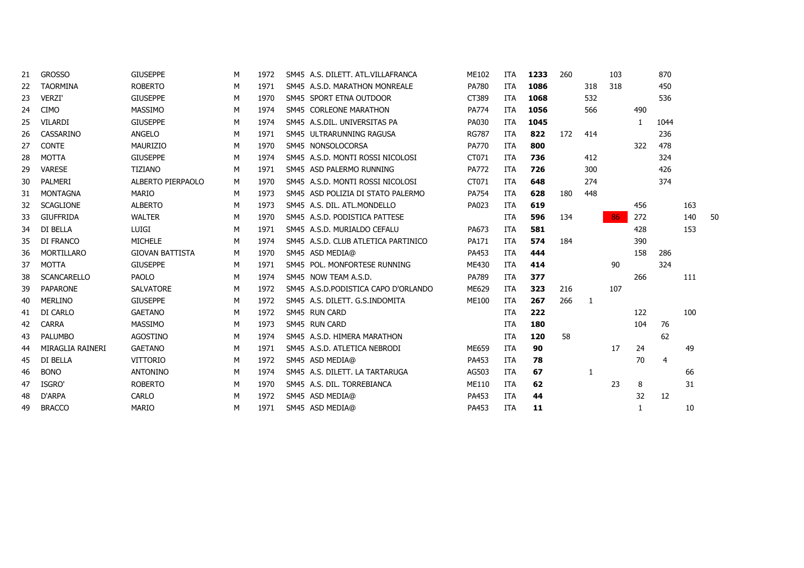| 21 | <b>GROSSO</b>      | <b>GIUSEPPE</b>        | М | 1972 | SM45 A.S. DILETT. ATL.VILLAFRANCA    | ME102        | <b>ITA</b> | 1233 | 260 |     | 103 |     | 870            |     |    |
|----|--------------------|------------------------|---|------|--------------------------------------|--------------|------------|------|-----|-----|-----|-----|----------------|-----|----|
| 22 | <b>TAORMINA</b>    | <b>ROBERTO</b>         | м | 1971 | SM45 A.S.D. MARATHON MONREALE        | <b>PA780</b> | <b>ITA</b> | 1086 |     | 318 | 318 |     | 450            |     |    |
| 23 | <b>VERZI'</b>      | <b>GIUSEPPE</b>        | М | 1970 | SM45 SPORT ETNA OUTDOOR              | CT389        | <b>ITA</b> | 1068 |     | 532 |     |     | 536            |     |    |
| 24 | <b>CIMO</b>        | MASSIMO                | M | 1974 | SM45 CORLEONE MARATHON               | <b>PA774</b> | <b>ITA</b> | 1056 |     | 566 |     | 490 |                |     |    |
| 25 | <b>VILARDI</b>     | <b>GIUSEPPE</b>        | M | 1974 | SM45 A.S.DIL. UNIVERSITAS PA         | PA030        | <b>ITA</b> | 1045 |     |     |     | 1.  | 1044           |     |    |
| 26 | CASSARINO          | ANGELO                 | м | 1971 | SM45 ULTRARUNNING RAGUSA             | <b>RG787</b> | <b>ITA</b> | 822  | 172 | 414 |     |     | 236            |     |    |
| 27 | <b>CONTE</b>       | MAURIZIO               | М | 1970 | SM45 NONSOLOCORSA                    | <b>PA770</b> | <b>ITA</b> | 800  |     |     |     | 322 | 478            |     |    |
| 28 | <b>MOTTA</b>       | <b>GIUSEPPE</b>        | м | 1974 | SM45 A.S.D. MONTI ROSSI NICOLOSI     | CT071        | <b>ITA</b> | 736  |     | 412 |     |     | 324            |     |    |
| 29 | <b>VARESE</b>      | <b>TIZIANO</b>         | м | 1971 | SM45 ASD PALERMO RUNNING             | <b>PA772</b> | <b>ITA</b> | 726  |     | 300 |     |     | 426            |     |    |
| 30 | PALMERI            | ALBERTO PIERPAOLO      | M | 1970 | SM45 A.S.D. MONTI ROSSI NICOLOSI     | CT071        | ITA        | 648  |     | 274 |     |     | 374            |     |    |
| 31 | MONTAGNA           | MARIO                  | м | 1973 | SM45 ASD POLIZIA DI STATO PALERMO    | PA754        | <b>ITA</b> | 628  | 180 | 448 |     |     |                |     |    |
| 32 | <b>SCAGLIONE</b>   | <b>ALBERTO</b>         | м | 1973 | SM45 A.S. DIL. ATL.MONDELLO          | PA023        | <b>ITA</b> | 619  |     |     |     | 456 |                | 163 |    |
| 33 | <b>GIUFFRIDA</b>   | <b>WALTER</b>          | м | 1970 | SM45 A.S.D. PODISTICA PATTESE        |              | <b>ITA</b> | 596  | 134 |     | 86  | 272 |                | 140 | 50 |
| 34 | DI BELLA           | <b>LUIGI</b>           | м | 1971 | SM45 A.S.D. MURIALDO CEFALU          | PA673        | <b>ITA</b> | 581  |     |     |     | 428 |                | 153 |    |
| 35 | DI FRANCO          | <b>MICHELE</b>         | М | 1974 | SM45 A.S.D. CLUB ATLETICA PARTINICO  | PA171        | <b>ITA</b> | 574  | 184 |     |     | 390 |                |     |    |
| 36 | MORTILLARO         | <b>GIOVAN BATTISTA</b> | M | 1970 | SM45 ASD MEDIA@                      | PA453        | <b>ITA</b> | 444  |     |     |     | 158 | 286            |     |    |
| 37 | <b>MOTTA</b>       | <b>GIUSEPPE</b>        | М | 1971 | SM45 POL. MONFORTESE RUNNING         | ME430        | <b>ITA</b> | 414  |     |     | 90  |     | 324            |     |    |
| 38 | <b>SCANCARELLO</b> | PAOLO                  | М | 1974 | SM45 NOW TEAM A.S.D.                 | PA789        | <b>ITA</b> | 377  |     |     |     | 266 |                | 111 |    |
| 39 | <b>PAPARONE</b>    | <b>SALVATORE</b>       | м | 1972 | SM45 A.S.D. PODISTICA CAPO D'ORLANDO | ME629        | <b>ITA</b> | 323  | 216 |     | 107 |     |                |     |    |
| 40 | <b>MERLINO</b>     | <b>GIUSEPPE</b>        | M | 1972 | SM45 A.S. DILETT. G.S.INDOMITA       | <b>ME100</b> | ITA        | 267  | 266 | -1  |     |     |                |     |    |
| 41 | DI CARLO           | <b>GAETANO</b>         | м | 1972 | SM45 RUN CARD                        |              | <b>ITA</b> | 222  |     |     |     | 122 |                | 100 |    |
| 42 | <b>CARRA</b>       | <b>MASSIMO</b>         | M | 1973 | SM45 RUN CARD                        |              | <b>ITA</b> | 180  |     |     |     | 104 | 76             |     |    |
| 43 | <b>PALUMBO</b>     | <b>AGOSTINO</b>        | М | 1974 | SM45 A.S.D. HIMERA MARATHON          |              | <b>ITA</b> | 120  | 58  |     |     |     | 62             |     |    |
| 44 | MIRAGLIA RAINERI   | <b>GAETANO</b>         | M | 1971 | SM45 A.S.D. ATLETICA NEBRODI         | ME659        | <b>ITA</b> | 90   |     |     | 17  | 24  |                | 49  |    |
| 45 | DI BELLA           | <b>VITTORIO</b>        | М | 1972 | SM45 ASD MEDIA@                      | PA453        | <b>ITA</b> | 78   |     |     |     | 70  | $\overline{4}$ |     |    |
| 46 | <b>BONO</b>        | <b>ANTONINO</b>        | м | 1974 | SM45 A.S. DILETT. LA TARTARUGA       | AG503        | <b>ITA</b> | 67   |     | 1   |     |     |                | 66  |    |
| 47 | ISGRO'             | <b>ROBERTO</b>         | M | 1970 | SM45 A.S. DIL. TORREBIANCA           | ME110        | <b>ITA</b> | 62   |     |     | 23  | 8   |                | 31  |    |
| 48 | D'ARPA             | <b>CARLO</b>           | М | 1972 | SM45 ASD MEDIA@                      | PA453        | ITA        | 44   |     |     |     | 32  | 12             |     |    |
| 49 | <b>BRACCO</b>      | <b>MARIO</b>           | м | 1971 | SM45 ASD MEDIA@                      | PA453        | <b>ITA</b> | 11   |     |     |     | 1   |                | 10  |    |
|    |                    |                        |   |      |                                      |              |            |      |     |     |     |     |                |     |    |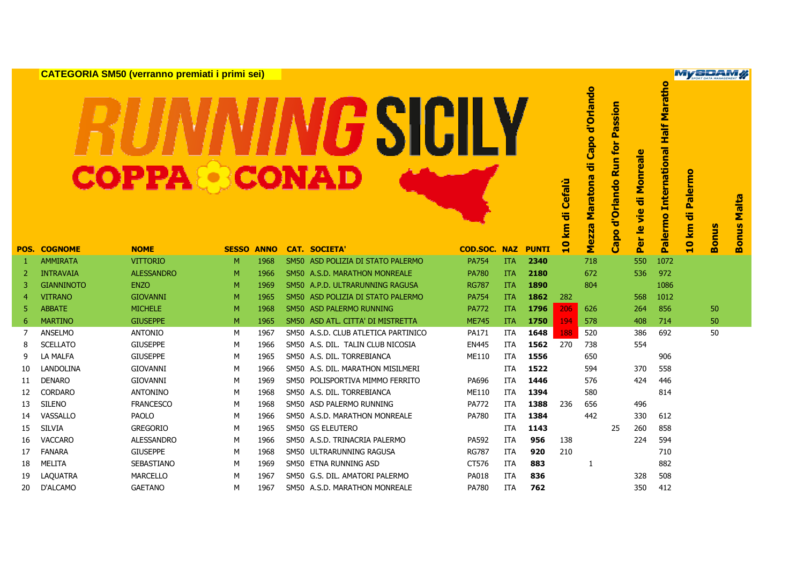**CATEGORIA SM50 (verranno premiati i primi sei)**

## GSICILY

**Palermo International Half Marathon Mezza Maratona di Capo d'Orlando Capo d'Orlando Run for Passion** alermo International **Per le vie di Monreale** 10 km di Palermo **10 km di Palermo POS.**<br> **POS.**<br> **POS.**<br> **POS.**<br> **POS.**<br> **POS.**<br> **POS.**<br> **POS.**<br> **POS.**<br> **POS.**<br> **POS.**<br> **POS.**<br> **POS.**<br> **POS.**<br> **POS.**<br> **POS.**<br> **POS.**<br> **POS.**<br> **POS.**<br> **POS.**<br> **POS.**<br> **POS.**<br> **POS.**<br> **POS.**<br> **POS.**<br> **POS.**<br> **POS.**<br> **POS.** ezza **Bonus**  Capo Per<sup>1</sup> Σ Ä <sup>1</sup> AMMIRATA VITTORIO <sup>M</sup> <sup>1968</sup> SM50 ASD POLIZIA DI STATO PALERMO PA754 ITA **<sup>2340</sup>** <sup>718</sup> <sup>550</sup> <sup>1072</sup> <sup>2</sup> INTRAVAIA ALESSANDRO <sup>M</sup> <sup>1966</sup> SM50 A.S.D. MARATHON MONREALE PA780 ITA **<sup>2180</sup>** <sup>672</sup> <sup>536</sup> <sup>972</sup> <sup>3</sup> GIANNINOTO ENZO <sup>M</sup> <sup>1969</sup> SM50 A.P.D. ULTRARUNNING RAGUSA RG787 ITA **<sup>1890</sup>** <sup>804</sup> <sup>1086</sup> <sup>4</sup> VITRANO GIOVANNI <sup>M</sup> <sup>1965</sup> SM50 ASD POLIZIA DI STATO PALERMO PA754 ITA **<sup>1862</sup>** <sup>282</sup> <sup>568</sup> <sup>1012</sup> <sup>5</sup> ABBATE MICHELE <sup>M</sup> <sup>1968</sup> SM50 ASD PALERMO RUNNING PA772 ITA **<sup>1796</sup>** <sup>206</sup> <sup>626</sup> <sup>264</sup> <sup>856</sup> <sup>50</sup> <sup>6</sup> MARTINO GIUSEPPE <sup>M</sup> <sup>1965</sup> SM50 ASD ATL. CITTA' DI MISTRETTA ME745 ITA **<sup>1750</sup>** <sup>194</sup> <sup>578</sup> <sup>408</sup> <sup>714</sup> <sup>50</sup> <sup>7</sup> ANSELMO ANTONIO <sup>M</sup> <sup>1967</sup> SM50 A.S.D. CLUB ATLETICA PARTINICO PA171 ITA **<sup>1648</sup>** <sup>188</sup> <sup>520</sup> <sup>386</sup> <sup>692</sup> <sup>50</sup> <sup>8</sup> SCELLATO GIUSEPPE <sup>M</sup> <sup>1966</sup> SM50 A.S. DIL. TALIN CLUB NICOSIA EN445 ITA **<sup>1562</sup>** <sup>270</sup> <sup>738</sup> <sup>554</sup> <sup>9</sup> LA MALFA GIUSEPPE <sup>M</sup> <sup>1965</sup> SM50 A.S. DIL. TORREBIANCA ME110 ITA **<sup>1556</sup>** <sup>650</sup> <sup>906</sup> <sup>10</sup> LANDOLINA GIOVANNI <sup>M</sup> <sup>1966</sup> SM50 A.S. DIL. MARATHON MISILMERI ITA **<sup>1522</sup>** <sup>594</sup> <sup>370</sup> <sup>558</sup> <sup>11</sup> DENARO GIOVANNI <sup>M</sup> <sup>1969</sup> SM50 POLISPORTIVA MIMMO FERRITO PA696 ITA **<sup>1446</sup>** <sup>576</sup> <sup>424</sup> <sup>446</sup> <sup>12</sup> CORDARO ANTONINO <sup>M</sup> <sup>1968</sup> SM50 A.S. DIL. TORREBIANCA ME110 ITA **<sup>1394</sup>** <sup>580</sup> <sup>814</sup> <sup>13</sup> SILENO FRANCESCO <sup>M</sup> <sup>1968</sup> SM50 ASD PALERMO RUNNING PA772 ITA **<sup>1388</sup>** <sup>236</sup> <sup>656</sup> <sup>496</sup> <sup>14</sup> VASSALLO PAOLO <sup>M</sup> <sup>1966</sup> SM50 A.S.D. MARATHON MONREALE PA780 ITA **<sup>1384</sup>** <sup>442</sup> <sup>330</sup> <sup>612</sup> <sup>15</sup> SILVIA GREGORIO <sup>M</sup> <sup>1965</sup> SM50 GS ELEUTERO ITA **<sup>1143</sup>** <sup>25</sup> <sup>260</sup> <sup>858</sup> <sup>16</sup> VACCARO ALESSANDRO <sup>M</sup> <sup>1966</sup> SM50 A.S.D. TRINACRIA PALERMO PA592 ITA **<sup>956</sup>** <sup>138</sup> <sup>224</sup> <sup>594</sup> <sup>17</sup> FANARA GIUSEPPE <sup>M</sup> <sup>1968</sup> SM50 ULTRARUNNING RAGUSA RG787 ITA **<sup>920</sup>** <sup>210</sup> <sup>710</sup> <sup>18</sup> MELITA SEBASTIANO <sup>M</sup> <sup>1969</sup> SM50 ETNA RUNNING ASD CT576 ITA **<sup>883</sup>** <sup>1</sup> <sup>882</sup> <sup>19</sup> LAQUATRA MARCELLO <sup>M</sup> <sup>1967</sup> SM50 G.S. DIL. AMATORI PALERMO PA018 ITA **<sup>836</sup>** <sup>328</sup> <sup>508</sup> <sup>20</sup> D'ALCAMO GAETANO <sup>M</sup> <sup>1967</sup> SM50 A.S.D. MARATHON MONREALE PA780 ITA **<sup>762</sup>** <sup>350</sup> <sup>412</sup>

**MySDAM#** 

**Half Maratho** 

Capo d'Orlando

气

Maratona

d'Orlando Run for Passion

le vie di Monreale

**Bonus Malta**

onus

m

**Malta**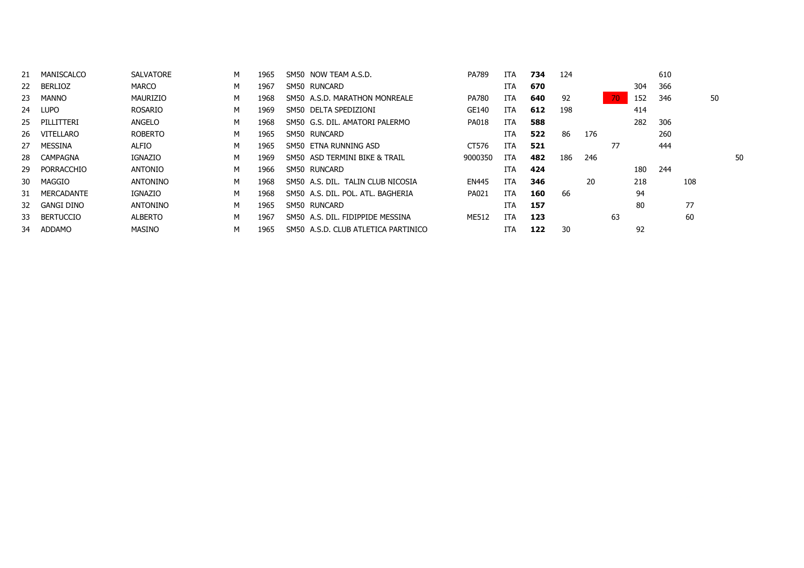|           | MANISCALCO        | <b>SALVATORE</b> | м | 1965 | SM50 NOW TEAM A.S.D.                | PA789        | ITA        | 734 | 124 |     |    |     | 610 |     |    |
|-----------|-------------------|------------------|---|------|-------------------------------------|--------------|------------|-----|-----|-----|----|-----|-----|-----|----|
| <b>22</b> | BERLIOZ           | <b>MARCO</b>     | M | 1967 | SM50 RUNCARD                        |              | <b>ITA</b> | 670 |     |     |    | 304 | 366 |     |    |
| 23        | <b>MANNO</b>      | MAURIZIO         | M | 1968 | SM50 A.S.D. MARATHON MONREALE       | <b>PA780</b> | ITA        | 640 | 92  |     | 70 | 152 | 346 | 50  |    |
| 24        | LUPO              | <b>ROSARIO</b>   | M | 1969 | SM50 DELTA SPEDIZIONI               | GE140        | ITA        | 612 | 198 |     |    | 414 |     |     |    |
| 25        | PILLITTERI        | ANGELO           | м | 1968 | SM50 G.S. DIL. AMATORI PALERMO      | <b>PA018</b> | ITA        | 588 |     |     |    | 282 | 306 |     |    |
| 26        | VITELLARO         | <b>ROBERTO</b>   | M | 1965 | SM50 RUNCARD                        |              | <b>ITA</b> | 522 | 86  | 176 |    |     | 260 |     |    |
| 27        | <b>MESSINA</b>    | ALFIO            | м | 1965 | SM50 ETNA RUNNING ASD               | CT576        | <b>ITA</b> | 521 |     |     | 77 |     | 444 |     |    |
| 28        | CAMPAGNA          | <b>IGNAZIO</b>   | м | 1969 | SM50 ASD TERMINI BIKE & TRAIL       | 9000350      | ITA        | 482 | 186 | 246 |    |     |     |     | 50 |
| -29       | PORRACCHIO        | <b>ANTONIO</b>   | M | 1966 | SM50 RUNCARD                        |              | ITA        | 424 |     |     |    | 180 | 244 |     |    |
| 30        | MAGGIO            | <b>ANTONINO</b>  | м | 1968 | SM50 A.S. DIL. TALIN CLUB NICOSIA   | <b>EN445</b> | ITA        | 346 |     | 20  |    | 218 |     | 108 |    |
| 31        | <b>MERCADANTE</b> | <b>IGNAZIO</b>   | м | 1968 | SM50 A.S. DIL. POL. ATL. BAGHERIA   | PA021        | <b>ITA</b> | 160 | 66  |     |    | 94  |     |     |    |
| 32        | GANGI DINO        | <b>ANTONINO</b>  | M | 1965 | SM50 RUNCARD                        |              | ITA        | 157 |     |     |    | 80  |     | 77  |    |
| 33        | <b>BERTUCCIO</b>  | <b>ALBERTO</b>   | м | 1967 | SM50 A.S. DIL. FIDIPPIDE MESSINA    | ME512        | <b>ITA</b> | 123 |     |     | 63 |     |     | 60  |    |
| 34        | ADDAMO            | <b>MASINO</b>    | M | 1965 | SM50 A.S.D. CLUB ATLETICA PARTINICO |              | ITA        | 122 | 30  |     |    | 92  |     |     |    |
|           |                   |                  |   |      |                                     |              |            |     |     |     |    |     |     |     |    |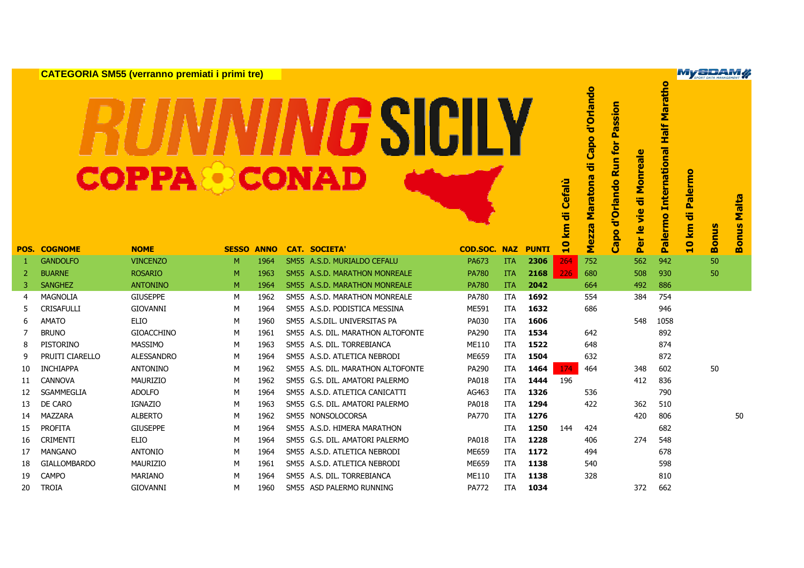**CATEGORIA SM55 (verranno premiati i primi tre)**

## **GSICILY**

|    |                     | <u>on't Loomin oliloo (verranno preniida i prinin a of</u> |              |             |                                   |                     |            |              |              |                                        |                                                          |                                          | $\overline{\bullet}$                     |                           | SPORT DATA MANAGEMENT |                |
|----|---------------------|------------------------------------------------------------|--------------|-------------|-----------------------------------|---------------------|------------|--------------|--------------|----------------------------------------|----------------------------------------------------------|------------------------------------------|------------------------------------------|---------------------------|-----------------------|----------------|
|    |                     | <b>COPPA CONAD</b>                                         |              |             | SIU                               |                     |            |              | km di Cefalù | po d'Orlando<br>ㅎ<br>Maratona<br>Mezza | Passion<br>for<br>$\mathbf{S}$<br>≃<br>d'Orlando<br>Capo | Monreale<br>ㅎ<br>$\frac{1}{2}$<br>Per le | <b>International Half Marath</b><br>ermo | <b>Palermo</b><br>ㅎ<br>km | <b>Bonus</b>          | Malta<br>nus   |
|    | <b>POS. COGNOME</b> | <b>NOME</b>                                                | <b>SESSO</b> | <b>ANNO</b> | <b>CAT. SOCIETA'</b>              | <b>COD.SOC. NAZ</b> |            | <b>PUNTI</b> | $\mathbf{a}$ |                                        |                                                          |                                          | <b>Dal</b>                               | $\bullet$<br>Ħ            |                       | $\overline{8}$ |
| 1  | <b>GANDOLFO</b>     | <b>VINCENZO</b>                                            | M            | 1964        | SM55 A.S.D. MURIALDO CEFALU       | PA673               | <b>ITA</b> | 2306         | 264          | 752                                    |                                                          | 562                                      | 942                                      |                           | 50                    |                |
| 2  | <b>BUARNE</b>       | <b>ROSARIO</b>                                             | M            | 1963        | SM55 A.S.D. MARATHON MONREALE     | <b>PA780</b>        | <b>ITA</b> | 2168         | 226          | 680                                    |                                                          | 508                                      | 930                                      |                           | 50                    |                |
| 3  | <b>SANGHEZ</b>      | <b>ANTONINO</b>                                            | M            | 1964        | SM55 A.S.D. MARATHON MONREALE     | <b>PA780</b>        | <b>ITA</b> | 2042         |              | 664                                    |                                                          | 492                                      | 886                                      |                           |                       |                |
| 4  | <b>MAGNOLIA</b>     | <b>GIUSEPPE</b>                                            | M            | 1962        | SM55 A.S.D. MARATHON MONREALE     | PA780               | <b>ITA</b> | 1692         |              | 554                                    |                                                          | 384                                      | 754                                      |                           |                       |                |
| 5  | <b>CRISAFULLI</b>   | <b>GIOVANNI</b>                                            | м            | 1964        | SM55 A.S.D. PODISTICA MESSINA     | ME591               | <b>ITA</b> | 1632         |              | 686                                    |                                                          |                                          | 946                                      |                           |                       |                |
| 6  | <b>AMATO</b>        | <b>ELIO</b>                                                | м            | 1960        | SM55 A.S.DIL. UNIVERSITAS PA      | PA030               | <b>ITA</b> | 1606         |              |                                        |                                                          | 548                                      | 1058                                     |                           |                       |                |
| 7  | <b>BRUNO</b>        | <b>GIOACCHINO</b>                                          | M            | 1961        | SM55 A.S. DIL. MARATHON ALTOFONTE | PA290               | <b>ITA</b> | 1534         |              | 642                                    |                                                          |                                          | 892                                      |                           |                       |                |
| 8  | <b>PISTORINO</b>    | <b>MASSIMO</b>                                             | м            | 1963        | SM55 A.S. DIL. TORREBIANCA        | ME110               | <b>ITA</b> | 1522         |              | 648                                    |                                                          |                                          | 874                                      |                           |                       |                |
| 9  | PRUITI CIARELLO     | <b>ALESSANDRO</b>                                          | M            | 1964        | SM55 A.S.D. ATLETICA NEBRODI      | ME659               | ITA        | 1504         |              | 632                                    |                                                          |                                          | 872                                      |                           |                       |                |
| 10 | <b>INCHIAPPA</b>    | <b>ANTONINO</b>                                            | M            | 1962        | SM55 A.S. DIL. MARATHON ALTOFONTE | PA290               | <b>ITA</b> | 1464         | 174          | 464                                    |                                                          | 348                                      | 602                                      |                           | 50                    |                |
| 11 | <b>CANNOVA</b>      | <b>MAURIZIO</b>                                            | м            | 1962        | SM55 G.S. DIL. AMATORI PALERMO    | PA018               | ITA        | 1444         | 196          |                                        |                                                          | 412                                      | 836                                      |                           |                       |                |
| 12 | <b>SGAMMEGLIA</b>   | <b>ADOLFO</b>                                              | M            | 1964        | SM55 A.S.D. ATLETICA CANICATTI    | AG463               | <b>ITA</b> | 1326         |              | 536                                    |                                                          |                                          | 790                                      |                           |                       |                |
| 13 | DE CARO             | <b>IGNAZIO</b>                                             | м            | 1963        | SM55 G.S. DIL. AMATORI PALERMO    | PA018               | ITA        | 1294         |              | 422                                    |                                                          | 362                                      | 510                                      |                           |                       |                |
| 14 | <b>MAZZARA</b>      | <b>ALBERTO</b>                                             | M            | 1962        | SM55 NONSOLOCORSA                 | <b>PA770</b>        | ITA        | 1276         |              |                                        |                                                          | 420                                      | 806                                      |                           |                       | 50             |
| 15 | <b>PROFITA</b>      | <b>GIUSEPPE</b>                                            | м            | 1964        | SM55 A.S.D. HIMERA MARATHON       |                     | <b>ITA</b> | 1250         | 144          | 424                                    |                                                          |                                          | 682                                      |                           |                       |                |
| 16 | <b>CRIMENTI</b>     | <b>ELIO</b>                                                | M            | 1964        | SM55 G.S. DIL. AMATORI PALERMO    | PA018               | <b>ITA</b> | 1228         |              | 406                                    |                                                          | 274                                      | 548                                      |                           |                       |                |
| 17 | <b>MANGANO</b>      | <b>ANTONIO</b>                                             | M            | 1964        | SM55 A.S.D. ATLETICA NEBRODI      | ME659               | <b>ITA</b> | 1172         |              | 494                                    |                                                          |                                          | 678                                      |                           |                       |                |
| 18 | <b>GIALLOMBARDO</b> | MAURIZIO                                                   | M            | 1961        | SM55 A.S.D. ATLETICA NEBRODI      | ME659               | ITA        | 1138         |              | 540                                    |                                                          |                                          | 598                                      |                           |                       |                |
| 19 | <b>CAMPO</b>        | <b>MARIANO</b>                                             | м            | 1964        | SM55 A.S. DIL. TORREBIANCA        | ME110               | <b>ITA</b> | 1138         |              | 328                                    |                                                          |                                          | 810                                      |                           |                       |                |
| 20 | <b>TROIA</b>        | <b>GIOVANNI</b>                                            | м            | 1960        | SM55 ASD PALERMO RUNNING          | PA772               | ITA        | 1034         |              |                                        |                                                          | 372                                      | 662                                      |                           |                       |                |
|    |                     |                                                            |              |             |                                   |                     |            |              |              |                                        |                                                          |                                          |                                          |                           |                       |                |

**MySDAM#** 

nus Malta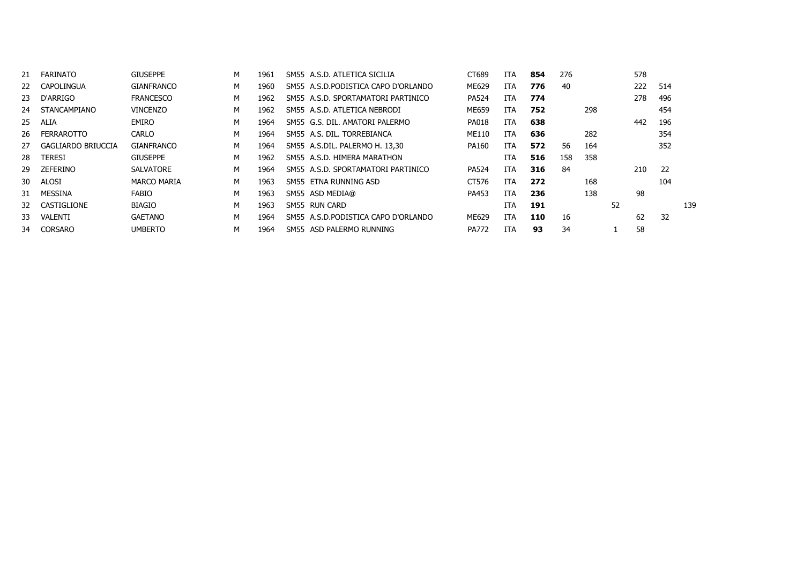| 21  | <b>FARINATO</b>           | <b>GIUSEPPE</b>    | м | 1961 | SM55 A.S.D. ATLETICA SICILIA         | CT689        | ITA.       | 854 | 276 |     |    | 578 |     |     |
|-----|---------------------------|--------------------|---|------|--------------------------------------|--------------|------------|-----|-----|-----|----|-----|-----|-----|
| 22  | CAPOLINGUA                | GIANFRANCO         | м | 1960 | SM55 A.S.D.PODISTICA CAPO D'ORLANDO  | ME629        | ITA.       | 776 | 40  |     |    | 222 | 514 |     |
| 23  | D'ARRIGO                  | <b>FRANCESCO</b>   | м | 1962 | SM55 A.S.D. SPORTAMATORI PARTINICO   | <b>PA524</b> | ITA.       | 774 |     |     |    | 278 | 496 |     |
| 24  | STANCAMPIANO              | <b>VINCENZO</b>    | м | 1962 | SM55 A.S.D. ATLETICA NEBRODI         | ME659        | ITA.       | 752 |     | 298 |    |     | 454 |     |
| 25  | ALIA                      | <b>EMIRO</b>       | м | 1964 | SM55 G.S. DIL. AMATORI PALERMO       | <b>PA018</b> | <b>ITA</b> | 638 |     |     |    | 442 | 196 |     |
| 26  | <b>FERRAROTTO</b>         | CARLO              | м | 1964 | SM55 A.S. DIL. TORREBIANCA           | ME110        | <b>ITA</b> | 636 |     | 282 |    |     | 354 |     |
| 27  | <b>GAGLIARDO BRIUCCIA</b> | <b>GIANFRANCO</b>  | м | 1964 | SM55 A.S.DIL. PALERMO H. 13,30       | PA160        | <b>ITA</b> | 572 | 56  | 164 |    |     | 352 |     |
| 28  | TERESI                    | <b>GIUSEPPE</b>    | м | 1962 | SM55 A.S.D. HIMERA MARATHON          |              | ITA.       | 516 | 158 | 358 |    |     |     |     |
| 29  | ZEFERINO                  | <b>SALVATORE</b>   | м | 1964 | SM55 A.S.D. SPORTAMATORI PARTINICO   | <b>PA524</b> | <b>ITA</b> | 316 | 84  |     |    | 210 | -22 |     |
| 30. | ALOSI                     | <b>MARCO MARIA</b> | м | 1963 | SM55 ETNA RUNNING ASD                | CT576        | <b>ITA</b> | 272 |     | 168 |    |     | 104 |     |
| 31  | MESSINA                   | <b>FABIO</b>       | м | 1963 | SM55 ASD MEDIA@                      | PA453        | <b>ITA</b> | 236 |     | 138 |    | 98  |     |     |
|     | 32 CASTIGLIONE            | BIAGIO             | м | 1963 | SM55 RUN CARD                        |              | ITA        | 191 |     |     | 52 |     |     | 139 |
| 33. | VALENTI                   | <b>GAETANO</b>     | м | 1964 | SM55 A.S.D. PODISTICA CAPO D'ORLANDO | ME629        | <b>ITA</b> | 110 | 16  |     |    | 62  | 32  |     |
| 34  | <b>CORSARO</b>            | <b>UMBERTO</b>     | м | 1964 | SM55 ASD PALERMO RUNNING             | <b>PA772</b> | <b>ITA</b> | 93  | 34  |     |    | 58  |     |     |
|     |                           |                    |   |      |                                      |              |            |     |     |     |    |     |     |     |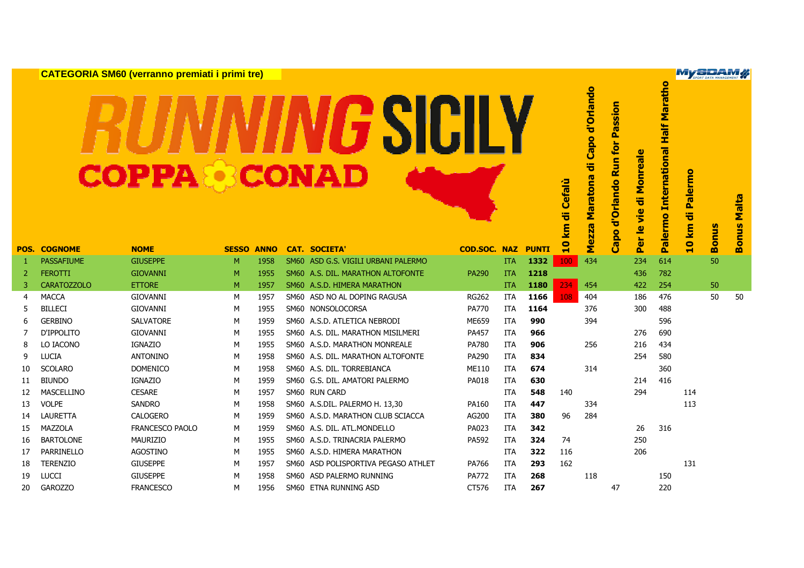|                |                     | <b>CATEGORIA SM60 (verranno premiati i primi tre)</b> |                   |      |                                     |                     |            |              |                |                                          |                                                   |                           |                                                           | <b>MySDAM#</b>               |              |                       |
|----------------|---------------------|-------------------------------------------------------|-------------------|------|-------------------------------------|---------------------|------------|--------------|----------------|------------------------------------------|---------------------------------------------------|---------------------------|-----------------------------------------------------------|------------------------------|--------------|-----------------------|
|                |                     | <b>COPPA &amp; CONAD</b>                              |                   |      | SIL                                 |                     |            |              | di Cefalù<br>E | Capo d'Orlando<br>ㅎ<br>Maratona<br>Mezza | Passion<br>for<br><b>Run</b><br>d'Orlando<br>Capo | vie di Monreale<br>Per le | $\overline{\bullet}$<br>Palermo International Half Marath | ermo<br>$\bar{a}$<br>ㅎ<br>km | <b>Bonus</b> | Malta<br><b>Bonus</b> |
|                | <b>POS. COGNOME</b> | <b>NOME</b>                                           | <b>SESSO ANNO</b> |      | <b>CAT. SOCIETA</b>                 | <b>COD.SOC. NAZ</b> |            | <b>PUNTI</b> | $\mathbf{a}$   |                                          |                                                   |                           |                                                           | $\bullet$<br>$\blacksquare$  |              |                       |
| -1             | <b>PASSAFIUME</b>   | <b>GIUSEPPE</b>                                       | M                 | 1958 | SM60 ASD G.S. VIGILI URBANI PALERMO |                     | <b>ITA</b> | 1332         | 100            | 434                                      |                                                   | 234                       | 614                                                       |                              | 50           |                       |
| $\overline{2}$ | <b>FEROTTI</b>      | <b>GIOVANNI</b>                                       | M                 | 1955 | SM60 A.S. DIL. MARATHON ALTOFONTE   | PA290               | <b>ITA</b> | 1218         |                |                                          |                                                   | 436                       | 782                                                       |                              |              |                       |
| 3              | <b>CARATOZZOLO</b>  | <b>ETTORE</b>                                         | M                 | 1957 | SM60 A.S.D. HIMERA MARATHON         |                     | <b>ITA</b> | 1180         | 234            | 454                                      |                                                   | 422                       | 254                                                       |                              | 50           |                       |
| $\overline{4}$ | <b>MACCA</b>        | <b>GIOVANNI</b>                                       | M                 | 1957 | SM60 ASD NO AL DOPING RAGUSA        | <b>RG262</b>        | <b>ITA</b> | 1166         | 108            | 404                                      |                                                   | 186                       | 476                                                       |                              | 50           | 50                    |
| 5              | <b>BILLECI</b>      | <b>GIOVANNI</b>                                       | М                 | 1955 | SM60 NONSOLOCORSA                   | PA770               | ITA        | 1164         |                | 376                                      |                                                   | 300                       | 488                                                       |                              |              |                       |
| 6              | <b>GERBINO</b>      | SALVATORE                                             | M                 | 1959 | SM60 A.S.D. ATLETICA NEBRODI        | ME659               | <b>ITA</b> | 990          |                | 394                                      |                                                   |                           | 596                                                       |                              |              |                       |
| 7              | D'IPPOLITO          | <b>GIOVANNI</b>                                       | M                 | 1955 | SM60 A.S. DIL. MARATHON MISILMERI   | PA457               | <b>ITA</b> | 966          |                |                                          |                                                   | 276                       | 690                                                       |                              |              |                       |
| 8              | LO IACONO           | <b>IGNAZIO</b>                                        | M                 | 1955 | SM60 A.S.D. MARATHON MONREALE       | <b>PA780</b>        | <b>ITA</b> | 906          |                | 256                                      |                                                   | 216                       | 434                                                       |                              |              |                       |
| 9              | <b>LUCIA</b>        | <b>ANTONINO</b>                                       | M                 | 1958 | SM60 A.S. DIL. MARATHON ALTOFONTE   | PA290               | <b>ITA</b> | 834          |                |                                          |                                                   | 254                       | 580                                                       |                              |              |                       |
| 10             | <b>SCOLARO</b>      | <b>DOMENICO</b>                                       | M                 | 1958 | SM60 A.S. DIL. TORREBIANCA          | ME110               | <b>ITA</b> | 674          |                | 314                                      |                                                   |                           | 360                                                       |                              |              |                       |
| 11             | <b>BIUNDO</b>       | <b>IGNAZIO</b>                                        | M                 | 1959 | SM60 G.S. DIL. AMATORI PALERMO      | PA018               | ITA        | 630          |                |                                          |                                                   | 214                       | 416                                                       |                              |              |                       |
| 12             | MASCELLINO          | <b>CESARE</b>                                         | М                 | 1957 | SM60 RUN CARD                       |                     | <b>ITA</b> | 548          | 140            |                                          |                                                   | 294                       |                                                           | 114                          |              |                       |
| 13             | <b>VOLPE</b>        | <b>SANDRO</b>                                         | M                 | 1958 | SM60 A.S.DIL. PALERMO H. 13,30      | PA160               | <b>ITA</b> | 447          |                | 334                                      |                                                   |                           |                                                           | 113                          |              |                       |
| 14             | LAURETTA            | <b>CALOGERO</b>                                       | M                 | 1959 | SM60 A.S.D. MARATHON CLUB SCIACCA   | AG200               | <b>ITA</b> | 380          | 96             | 284                                      |                                                   |                           |                                                           |                              |              |                       |
| 15             | MAZZOLA             | <b>FRANCESCO PAOLO</b>                                | M                 | 1959 | SM60 A.S. DIL. ATL.MONDELLO         | PA023               | <b>ITA</b> | 342          |                |                                          |                                                   | 26                        | 316                                                       |                              |              |                       |
| 16             | <b>BARTOLONE</b>    | MAURIZIO                                              | M                 | 1955 | SM60 A.S.D. TRINACRIA PALERMO       | PA592               | <b>ITA</b> | 324          | 74             |                                          |                                                   | 250                       |                                                           |                              |              |                       |
| 17             | PARRINELLO          | <b>AGOSTINO</b>                                       | M                 | 1955 | SM60 A.S.D. HIMERA MARATHON         |                     | <b>ITA</b> | 322          | 116            |                                          |                                                   | 206                       |                                                           |                              |              |                       |
| 18             | <b>TERENZIO</b>     | <b>GIUSEPPE</b>                                       | M                 | 1957 | SM60 ASD POLISPORTIVA PEGASO ATHLET | PA766               | ITA        | 293          | 162            |                                          |                                                   |                           |                                                           | 131                          |              |                       |
| 19             | <b>LUCCI</b>        | <b>GIUSEPPE</b>                                       | M                 | 1958 | SM60 ASD PALERMO RUNNING            | <b>PA772</b>        | <b>ITA</b> | 268          |                | 118                                      |                                                   |                           | 150                                                       |                              |              |                       |
| 20             | <b>GAROZZO</b>      | <b>FRANCESCO</b>                                      | M                 | 1956 | SM60 ETNA RUNNING ASD               | CT576               | <b>ITA</b> | 267          |                |                                          | 47                                                |                           | 220                                                       |                              |              |                       |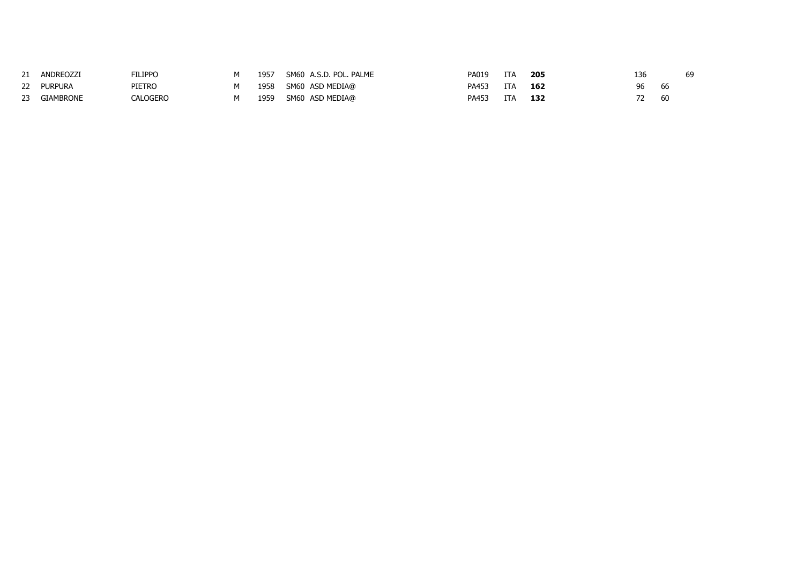|    | ANDREOZZI | <b>FILIPPO</b> | 1957 | SM60 A.S.D. POL. PALME | PA019 | ITA        | 205 | 136 |     | 69 |
|----|-----------|----------------|------|------------------------|-------|------------|-----|-----|-----|----|
| 22 | PURPURA   | PIETRO         | 1958 | SM60 ASD MEDIA@        | PA453 | <b>ITA</b> | 162 | 96  | -66 |    |
| 23 | GIAMBRONE | CALOGERO       | 1959 | SM60 ASD MEDIA@        | PA453 | ITA        | 132 |     | -60 |    |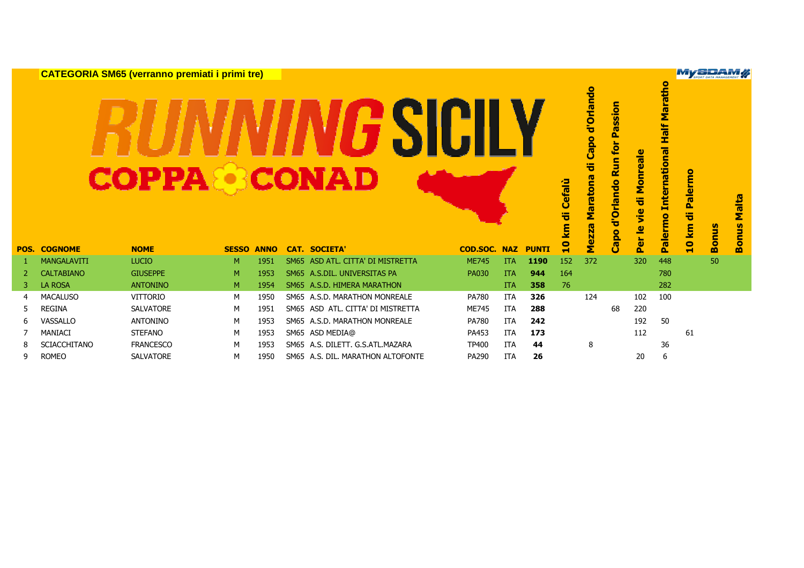|      |                     | <b>CATEGORIA SM65 (verranno premiati i primi tre)</b> |              |             |             |                                  |              |            |              |                          |                                                    |                                                               |                                                        |                                                        | My SPORT DATA MARAGEMENT   |              |                                        |
|------|---------------------|-------------------------------------------------------|--------------|-------------|-------------|----------------------------------|--------------|------------|--------------|--------------------------|----------------------------------------------------|---------------------------------------------------------------|--------------------------------------------------------|--------------------------------------------------------|----------------------------|--------------|----------------------------------------|
|      |                     | <b>COPPA&amp;CONAD</b>                                |              |             |             |                                  |              |            |              | Cefalù<br>ㅎ<br><b>la</b> | d'Orlando<br>Capo<br>ㅎ<br>Maratona<br><b>Mezza</b> | assion<br><u>Δ.</u><br>for<br><b>Run</b><br>d'Orlando<br>Capo | reale<br>Mon<br>ᄫ<br><u>je</u><br>$\overline{\bullet}$ | <b>Half Maratho</b><br><b>International</b><br>Palermo | Palermo<br>œ<br>ত<br>10 km | <b>Bonus</b> | <b>Malta</b><br>$\mathbf{v}$<br>s<br>Е |
| POS. | <b>COGNOME</b>      | <b>NOME</b>                                           | <b>SESSO</b> | <b>ANNO</b> |             | <b>CAT. SOCIETA'</b>             | COD.SOC.     | <b>NAZ</b> | <b>PUNTI</b> | $\overline{\mathbf{a}}$  |                                                    |                                                               | Per                                                    |                                                        |                            |              | $\overline{8}$                         |
|      | <b>MANGALAVITI</b>  | <b>LUCIO</b>                                          | M            | 1951        | <b>SM65</b> | ASD ATL, CITTA' DI MISTRETTA     | <b>ME745</b> | <b>ITA</b> | 1190         | 152                      | 372                                                |                                                               | 320                                                    | 448                                                    |                            | 50           |                                        |
| 2    | <b>CALTABIANO</b>   | <b>GIUSEPPE</b>                                       | M            | 1953        |             | SM65 A.S.DIL. UNIVERSITAS PA     | <b>PA030</b> | <b>ITA</b> | 944          | 164                      |                                                    |                                                               |                                                        | 780                                                    |                            |              |                                        |
| 3    | <b>LA ROSA</b>      | <b>ANTONINO</b>                                       | M            | 1954        |             | SM65 A.S.D. HIMERA MARATHON      |              | <b>ITA</b> | 358          | 76                       |                                                    |                                                               |                                                        | 282                                                    |                            |              |                                        |
| 4    | <b>MACALUSO</b>     | <b>VITTORIO</b>                                       | M            | 1950        |             | SM65 A.S.D. MARATHON MONREALE    | <b>PA780</b> | <b>ITA</b> | 326          |                          | 124                                                |                                                               | 102                                                    | 100                                                    |                            |              |                                        |
| 5    | <b>REGINA</b>       | <b>SALVATORE</b>                                      | M            | 1951        | <b>SM65</b> | ASD ATL. CITTA' DI MISTRETTA     | <b>ME745</b> | ITA        | 288          |                          |                                                    | 68                                                            | 220                                                    |                                                        |                            |              |                                        |
| 6    | VASSALLO            | <b>ANTONINO</b>                                       | м            | 1953        |             | SM65 A.S.D. MARATHON MONREALE    | <b>PA780</b> | <b>ITA</b> | 242          |                          |                                                    |                                                               | 192                                                    | 50                                                     |                            |              |                                        |
|      | MANIACI             |                                                       |              | 1953        |             | SM65 ASD MEDIA@                  | PA453        | <b>ITA</b> | 173          |                          |                                                    |                                                               | 112                                                    |                                                        | 61                         |              |                                        |
|      |                     | <b>STEFANO</b>                                        | M            |             |             |                                  |              |            |              |                          |                                                    |                                                               |                                                        |                                                        |                            |              |                                        |
| 8    | <b>SCIACCHITANO</b> | <b>FRANCESCO</b>                                      | M            | 1953        |             | SM65 A.S. DILETT, G.S.ATL.MAZARA | <b>TP400</b> | <b>ITA</b> | 44           |                          | 8                                                  |                                                               |                                                        | 36                                                     |                            |              |                                        |